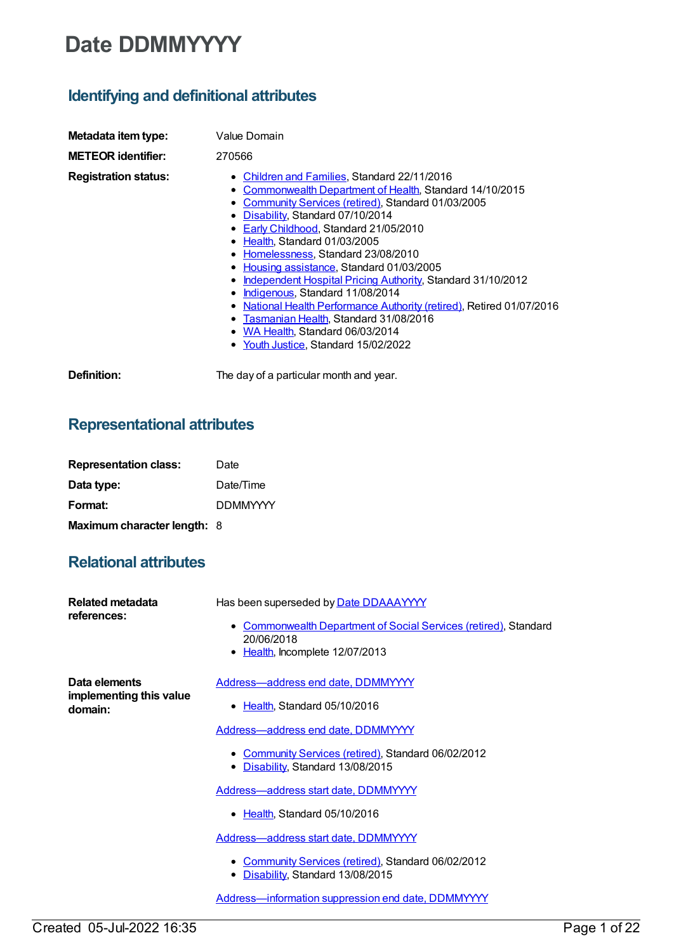# **Date DDMMYYYY**

# **Identifying and definitional attributes**

| Metadata item type:         | Value Domain                                                                                                                                                                                                                                                                                                                                                                                                                                                                                                                                                                                                                                                                   |
|-----------------------------|--------------------------------------------------------------------------------------------------------------------------------------------------------------------------------------------------------------------------------------------------------------------------------------------------------------------------------------------------------------------------------------------------------------------------------------------------------------------------------------------------------------------------------------------------------------------------------------------------------------------------------------------------------------------------------|
| <b>METEOR identifier:</b>   | 270566                                                                                                                                                                                                                                                                                                                                                                                                                                                                                                                                                                                                                                                                         |
| <b>Registration status:</b> | • Children and Families, Standard 22/11/2016<br>• Commonwealth Department of Health, Standard 14/10/2015<br>• Community Services (retired), Standard 01/03/2005<br>• Disability, Standard 07/10/2014<br>• Early Childhood, Standard 21/05/2010<br>• Health, Standard 01/03/2005<br>• Homelessness, Standard 23/08/2010<br>• Housing assistance, Standard 01/03/2005<br>• Independent Hospital Pricing Authority, Standard 31/10/2012<br>• Indigenous, Standard 11/08/2014<br><b>National Health Performance Authority (retired), Retired 01/07/2016</b><br>• Tasmanian Health, Standard 31/08/2016<br>• WA Health, Standard 06/03/2014<br>• Youth Justice, Standard 15/02/2022 |
| Definition:                 | The day of a particular month and year.                                                                                                                                                                                                                                                                                                                                                                                                                                                                                                                                                                                                                                        |

### **Representational attributes**

| <b>Representation class:</b>       | Date            |
|------------------------------------|-----------------|
| Data type:                         | Date/Time       |
| Format:                            | <b>DDMMYYYY</b> |
| <b>Maximum character length: 8</b> |                 |

## **Relational attributes**

| Related metadata<br>references:                     | Has been superseded by Date DDAAAYYYY<br>• Commonwealth Department of Social Services (retired), Standard<br>20/06/2018<br>Health, Incomplete 12/07/2013                                                                                                                                                                                                                                                                                                                        |
|-----------------------------------------------------|---------------------------------------------------------------------------------------------------------------------------------------------------------------------------------------------------------------------------------------------------------------------------------------------------------------------------------------------------------------------------------------------------------------------------------------------------------------------------------|
| Data elements<br>implementing this value<br>domain: | Address-address end date, DDMMYYYY<br>Health, Standard 05/10/2016<br>$\bullet$<br>Address-address end date, DDMMYYYY<br>• Community Services (retired), Standard 06/02/2012<br>Disability, Standard 13/08/2015<br>Address—address start date, DDMMYYYY<br>• Health, Standard 05/10/2016<br>Address-address start date, DDMMYYYY<br>• Community Services (retired), Standard 06/02/2012<br>Disability, Standard 13/08/2015<br>Address-information suppression end date, DDMMYYYY |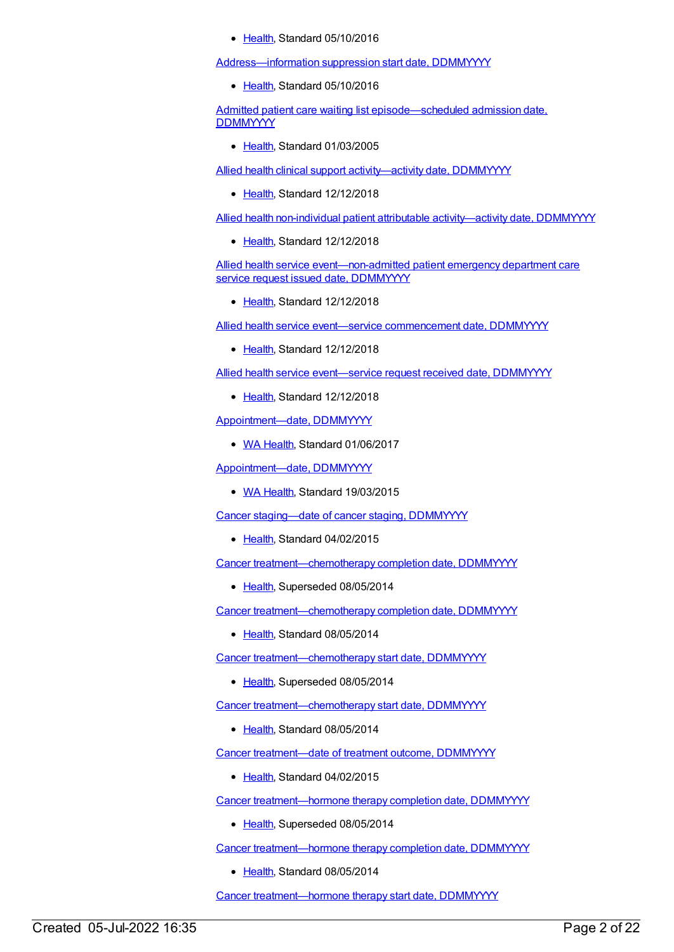• [Health](https://meteor.aihw.gov.au/RegistrationAuthority/12), Standard 05/10/2016

[Address—information](https://meteor.aihw.gov.au/content/522407) suppression start date, DDMMYYYY

• [Health](https://meteor.aihw.gov.au/RegistrationAuthority/12), Standard 05/10/2016

Admitted patient care waiting list [episode—scheduled](https://meteor.aihw.gov.au/content/269978) admission date, **DDMMYYYY** 

• [Health](https://meteor.aihw.gov.au/RegistrationAuthority/12), Standard 01/03/2005

Allied health clinical support [activity—activity](https://meteor.aihw.gov.au/content/705580) date, DDMMYYYY

• [Health](https://meteor.aihw.gov.au/RegistrationAuthority/12), Standard 12/12/2018

Allied health non-individual patient attributable [activity—activity](https://meteor.aihw.gov.au/content/705567) date, DDMMYYYY

• [Health](https://meteor.aihw.gov.au/RegistrationAuthority/12), Standard 12/12/2018

Allied health service event-non-admitted patient emergency department care service request issued date, DDMMYYYY

• [Health](https://meteor.aihw.gov.au/RegistrationAuthority/12), Standard 12/12/2018

Allied health service event—service [commencement](https://meteor.aihw.gov.au/content/705745) date, DDMMYYYY

• [Health](https://meteor.aihw.gov.au/RegistrationAuthority/12), Standard 12/12/2018

Allied health service [event—service](https://meteor.aihw.gov.au/content/705712) request received date, DDMMYYYY

• [Health](https://meteor.aihw.gov.au/RegistrationAuthority/12), Standard 12/12/2018

[Appointment—date,](https://meteor.aihw.gov.au/content/606308) DDMMYYYY

• WA [Health](https://meteor.aihw.gov.au/RegistrationAuthority/2), Standard 01/06/2017

[Appointment—date,](https://meteor.aihw.gov.au/content/496925) DDMMYYYY

• WA [Health](https://meteor.aihw.gov.au/RegistrationAuthority/2), Standard 19/03/2015

Cancer [staging—date](https://meteor.aihw.gov.au/content/458071) of cancer staging, DDMMYYYY

• [Health](https://meteor.aihw.gov.au/RegistrationAuthority/12), Standard 04/02/2015

Cancer [treatment—chemotherapy](https://meteor.aihw.gov.au/content/393552) completion date, DDMMYYYY

• [Health](https://meteor.aihw.gov.au/RegistrationAuthority/12), Superseded 08/05/2014

Cancer [treatment—chemotherapy](https://meteor.aihw.gov.au/content/561215) completion date, DDMMYYYY

• [Health](https://meteor.aihw.gov.au/RegistrationAuthority/12), Standard 08/05/2014

Cancer [treatment—chemotherapy](https://meteor.aihw.gov.au/content/393514) start date, DDMMYYYY

• [Health](https://meteor.aihw.gov.au/RegistrationAuthority/12), Superseded 08/05/2014

Cancer [treatment—chemotherapy](https://meteor.aihw.gov.au/content/561273) start date, DDMMYYYY

• [Health](https://meteor.aihw.gov.au/RegistrationAuthority/12), Standard 08/05/2014

Cancer [treatment—date](https://meteor.aihw.gov.au/content/462050) of treatment outcome, DDMMYYYY

• [Health](https://meteor.aihw.gov.au/RegistrationAuthority/12), Standard 04/02/2015

Cancer [treatment—hormone](https://meteor.aihw.gov.au/content/393568) therapy completion date, DDMMYYYY

• [Health](https://meteor.aihw.gov.au/RegistrationAuthority/12), Superseded 08/05/2014

Cancer [treatment—hormone](https://meteor.aihw.gov.au/content/561329) therapy completion date, DDMMYYYY

• [Health](https://meteor.aihw.gov.au/RegistrationAuthority/12), Standard 08/05/2014

Cancer [treatment—hormone](https://meteor.aihw.gov.au/content/393527) therapy start date, DDMMYYYY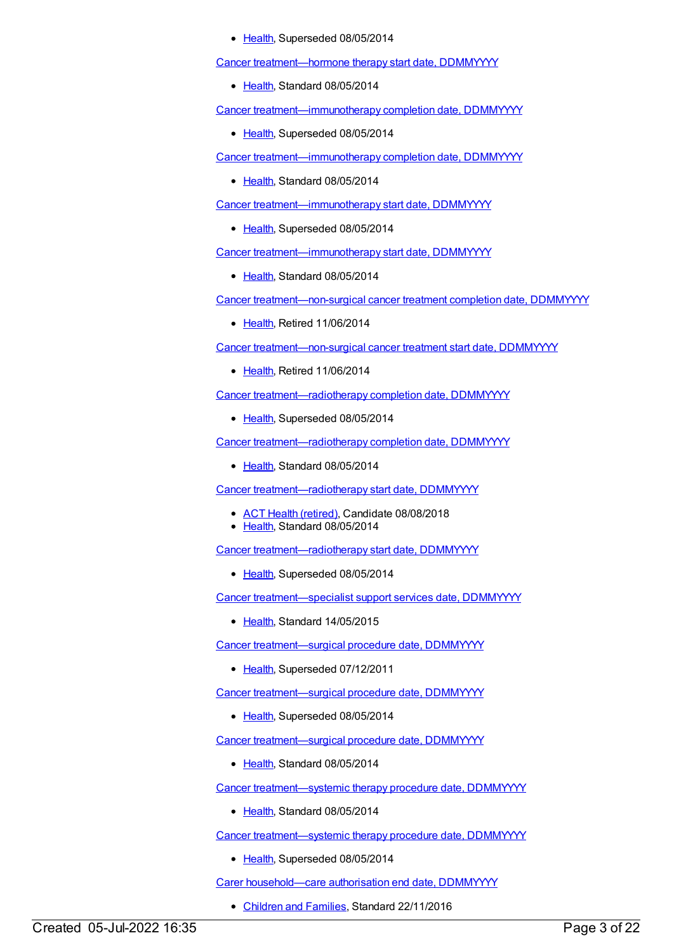#### • [Health](https://meteor.aihw.gov.au/RegistrationAuthority/12), Superseded 08/05/2014

Cancer [treatment—hormone](https://meteor.aihw.gov.au/content/561335) therapy start date, DDMMYYYY

• [Health](https://meteor.aihw.gov.au/RegistrationAuthority/12), Standard 08/05/2014

Cancer [treatment—immunotherapy](https://meteor.aihw.gov.au/content/393591) completion date, DDMMYYYY

• [Health](https://meteor.aihw.gov.au/RegistrationAuthority/12), Superseded 08/05/2014

Cancer [treatment—immunotherapy](https://meteor.aihw.gov.au/content/561360) completion date, DDMMYYYY

• [Health](https://meteor.aihw.gov.au/RegistrationAuthority/12), Standard 08/05/2014

Cancer [treatment—immunotherapy](https://meteor.aihw.gov.au/content/393541) start date, DDMMYYYY

• [Health](https://meteor.aihw.gov.au/RegistrationAuthority/12), Superseded 08/05/2014

Cancer [treatment—immunotherapy](https://meteor.aihw.gov.au/content/561366) start date, DDMMYYYY

• [Health](https://meteor.aihw.gov.au/RegistrationAuthority/12), Standard 08/05/2014

Cancer [treatment—non-surgical](https://meteor.aihw.gov.au/content/288136) cancer treatment completion date, DDMMYYYY

• [Health](https://meteor.aihw.gov.au/RegistrationAuthority/12), Retired 11/06/2014

Cancer [treatment—non-surgical](https://meteor.aihw.gov.au/content/288103) cancer treatment start date, DDMMYYYY

• [Health](https://meteor.aihw.gov.au/RegistrationAuthority/12), Retired 11/06/2014

Cancer [treatment—radiotherapy](https://meteor.aihw.gov.au/content/394464) completion date, DDMMYYYY

• [Health](https://meteor.aihw.gov.au/RegistrationAuthority/12), Superseded 08/05/2014

Cancer [treatment—radiotherapy](https://meteor.aihw.gov.au/content/561389) completion date, DDMMYYYY

[Health](https://meteor.aihw.gov.au/RegistrationAuthority/12), Standard 08/05/2014

Cancer [treatment—radiotherapy](https://meteor.aihw.gov.au/content/561469) start date, DDMMYYYY

- ACT Health [\(retired\)](https://meteor.aihw.gov.au/RegistrationAuthority/9), Candidate 08/08/2018
- [Health](https://meteor.aihw.gov.au/RegistrationAuthority/12), Standard 08/05/2014

Cancer [treatment—radiotherapy](https://meteor.aihw.gov.au/content/393497) start date, DDMMYYYY

• [Health](https://meteor.aihw.gov.au/RegistrationAuthority/12), Superseded 08/05/2014

Cancer [treatment—specialist](https://meteor.aihw.gov.au/content/487379) support services date, DDMMYYYY

• [Health](https://meteor.aihw.gov.au/RegistrationAuthority/12), Standard 14/05/2015

Cancer [treatment—surgical](https://meteor.aihw.gov.au/content/288632) procedure date, DDMMYYYY

• [Health](https://meteor.aihw.gov.au/RegistrationAuthority/12), Superseded 07/12/2011

Cancer [treatment—surgical](https://meteor.aihw.gov.au/content/393424) procedure date, DDMMYYYY

• [Health](https://meteor.aihw.gov.au/RegistrationAuthority/12), Superseded 08/05/2014

Cancer [treatment—surgical](https://meteor.aihw.gov.au/content/561574) procedure date, DDMMYYYY

• [Health](https://meteor.aihw.gov.au/RegistrationAuthority/12), Standard 08/05/2014

Cancer [treatment—systemic](https://meteor.aihw.gov.au/content/561606) therapy procedure date, DDMMYYYY

• [Health](https://meteor.aihw.gov.au/RegistrationAuthority/12), Standard 08/05/2014

Cancer treatment-systemic therapy procedure date, DDMMYYYY

• [Health](https://meteor.aihw.gov.au/RegistrationAuthority/12), Superseded 08/05/2014

Carer [household—care](https://meteor.aihw.gov.au/content/531768) authorisation end date, DDMMYYYY

• [Children](https://meteor.aihw.gov.au/RegistrationAuthority/17) and Families, Standard 22/11/2016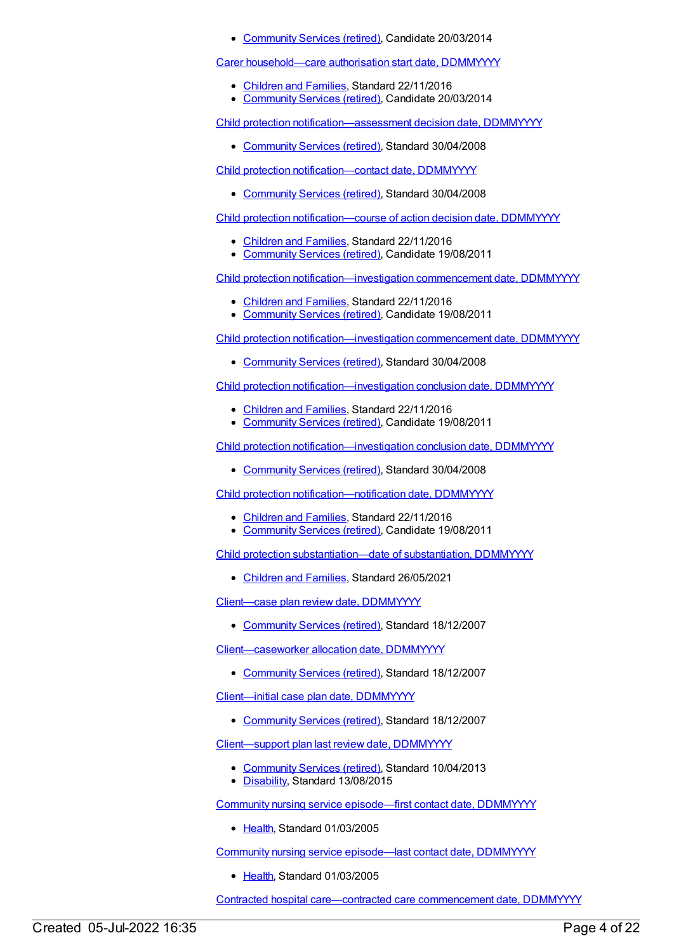• [Community](https://meteor.aihw.gov.au/RegistrationAuthority/1) Services (retired), Candidate 20/03/2014

Carer [household—care](https://meteor.aihw.gov.au/content/531704) authorisation start date, DDMMYYYY

- [Children](https://meteor.aihw.gov.au/RegistrationAuthority/17) and Families, Standard 22/11/2016
- [Community](https://meteor.aihw.gov.au/RegistrationAuthority/1) Services (retired), Candidate 20/03/2014

Child protection [notification—assessment](https://meteor.aihw.gov.au/content/331081) decision date, DDMMYYYY

• [Community](https://meteor.aihw.gov.au/RegistrationAuthority/1) Services (retired), Standard 30/04/2008

Child protection [notification—contact](https://meteor.aihw.gov.au/content/314528) date, DDMMYYYY

[Community](https://meteor.aihw.gov.au/RegistrationAuthority/1) Services (retired), Standard 30/04/2008

Child protection [notification—course](https://meteor.aihw.gov.au/content/455338) of action decision date, DDMMYYYY

- [Children](https://meteor.aihw.gov.au/RegistrationAuthority/17) and Families, Standard 22/11/2016
- [Community](https://meteor.aihw.gov.au/RegistrationAuthority/1) Services (retired), Candidate 19/08/2011

Child protection [notification—investigation](https://meteor.aihw.gov.au/content/455361) commencement date, DDMMYYYY

- [Children](https://meteor.aihw.gov.au/RegistrationAuthority/17) and Families, Standard 22/11/2016
- [Community](https://meteor.aihw.gov.au/RegistrationAuthority/1) Services (retired), Candidate 19/08/2011

Child protection [notification—investigation](https://meteor.aihw.gov.au/content/316537) commencement date, DDMMYYYY

• [Community](https://meteor.aihw.gov.au/RegistrationAuthority/1) Services (retired), Standard 30/04/2008

Child protection [notification—investigation](https://meteor.aihw.gov.au/content/456528) conclusion date, DDMMYYYY

- [Children](https://meteor.aihw.gov.au/RegistrationAuthority/17) and Families, Standard 22/11/2016
- [Community](https://meteor.aihw.gov.au/RegistrationAuthority/1) Services (retired), Candidate 19/08/2011

Child protection [notification—investigation](https://meteor.aihw.gov.au/content/316549) conclusion date, DDMMYYYY

[Community](https://meteor.aihw.gov.au/RegistrationAuthority/1) Services (retired), Standard 30/04/2008

Child protection [notification—notification](https://meteor.aihw.gov.au/content/455248) date, DDMMYYYY

- [Children](https://meteor.aihw.gov.au/RegistrationAuthority/17) and Families, Standard 22/11/2016
- [Community](https://meteor.aihw.gov.au/RegistrationAuthority/1) Services (retired), Candidate 19/08/2011

Child protection [substantiation—date](https://meteor.aihw.gov.au/content/741802) of substantiation, DDMMYYYY

• [Children](https://meteor.aihw.gov.au/RegistrationAuthority/17) and Families, Standard 26/05/2021

[Client—case](https://meteor.aihw.gov.au/content/316408) plan review date, DDMMYYYY

[Community](https://meteor.aihw.gov.au/RegistrationAuthority/1) Services (retired), Standard 18/12/2007

[Client—caseworker](https://meteor.aihw.gov.au/content/317373) allocation date, DDMMYYYY

• [Community](https://meteor.aihw.gov.au/RegistrationAuthority/1) Services (retired), Standard 18/12/2007

[Client—initial](https://meteor.aihw.gov.au/content/316402) case plan date, DDMMYYYY

• [Community](https://meteor.aihw.gov.au/RegistrationAuthority/1) Services (retired), Standard 18/12/2007

[Client—support](https://meteor.aihw.gov.au/content/513067) plan last review date, DDMMYYYY

- [Community](https://meteor.aihw.gov.au/RegistrationAuthority/1) Services (retired), Standard 10/04/2013
- [Disability](https://meteor.aihw.gov.au/RegistrationAuthority/16), Standard 13/08/2015

Community nursing service [episode—first](https://meteor.aihw.gov.au/content/270190) contact date, DDMMYYYY

• [Health](https://meteor.aihw.gov.au/RegistrationAuthority/12), Standard 01/03/2005

Community nursing service [episode—last](https://meteor.aihw.gov.au/content/270191) contact date, DDMMYYYY

• [Health](https://meteor.aihw.gov.au/RegistrationAuthority/12), Standard 01/03/2005

Contracted hospital [care—contracted](https://meteor.aihw.gov.au/content/270105) care commencement date, DDMMYYYY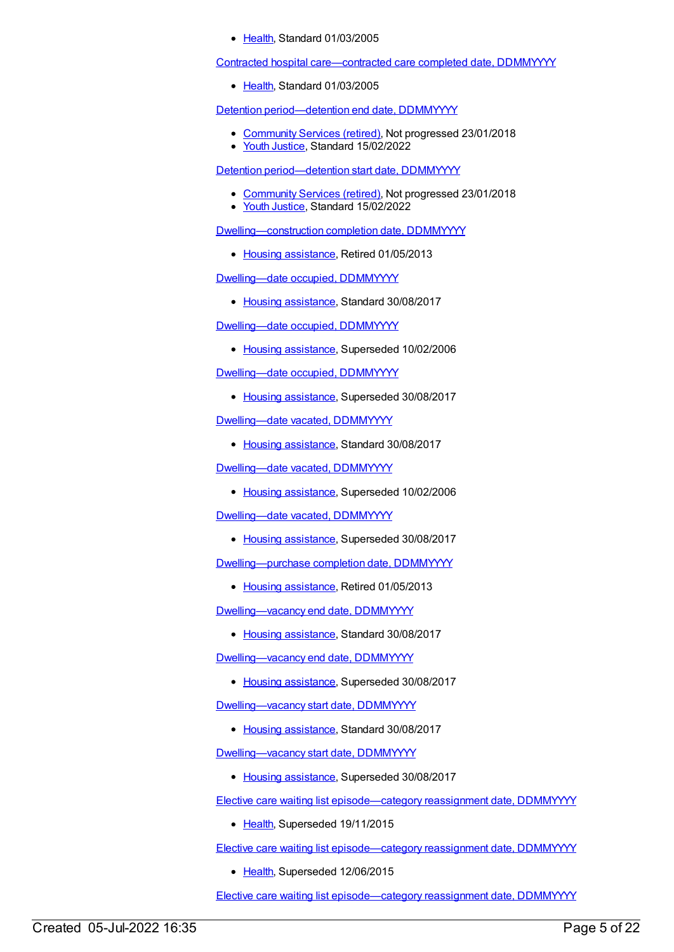[Health](https://meteor.aihw.gov.au/RegistrationAuthority/12), Standard 01/03/2005

Contracted hospital [care—contracted](https://meteor.aihw.gov.au/content/270106) care completed date, DDMMYYYY

• [Health](https://meteor.aihw.gov.au/RegistrationAuthority/12), Standard 01/03/2005

Detention [period—detention](https://meteor.aihw.gov.au/content/508125) end date, DDMMYYYY

- [Community](https://meteor.aihw.gov.au/RegistrationAuthority/1) Services (retired), Not progressed 23/01/2018
- Youth [Justice](https://meteor.aihw.gov.au/RegistrationAuthority/4), Standard 15/02/2022

Detention [period—detention](https://meteor.aihw.gov.au/content/508301) start date, DDMMYYYY

- [Community](https://meteor.aihw.gov.au/RegistrationAuthority/1) Services (retired), Not progressed 23/01/2018
- Youth [Justice](https://meteor.aihw.gov.au/RegistrationAuthority/4), Standard 15/02/2022

[Dwelling—construction](https://meteor.aihw.gov.au/content/270242) completion date, DDMMYYYY

• Housing [assistance](https://meteor.aihw.gov.au/RegistrationAuthority/11), Retired 01/05/2013

Dwelling-date occupied, DDMMYYYY

• Housing [assistance](https://meteor.aihw.gov.au/RegistrationAuthority/11), Standard 30/08/2017

Dwelling-date occupied, DDMMYYYY

• Housing [assistance](https://meteor.aihw.gov.au/RegistrationAuthority/11), Superseded 10/02/2006

Dwelling-date occupied, DDMMYYYY

• Housing [assistance](https://meteor.aihw.gov.au/RegistrationAuthority/11), Superseded 30/08/2017

Dwelling-date vacated, DDMMYYYY

• Housing [assistance](https://meteor.aihw.gov.au/RegistrationAuthority/11), Standard 30/08/2017

Dwelling-date vacated, DDMMYYYY

• Housing [assistance](https://meteor.aihw.gov.au/RegistrationAuthority/11), Superseded 10/02/2006

Dwelling-date vacated, DDMMYYYY

• Housing [assistance](https://meteor.aihw.gov.au/RegistrationAuthority/11), Superseded 30/08/2017

[Dwelling—purchase](https://meteor.aihw.gov.au/content/270243) completion date, DDMMYYYY

• Housing [assistance](https://meteor.aihw.gov.au/RegistrationAuthority/11), Retired 01/05/2013

[Dwelling—vacancy](https://meteor.aihw.gov.au/content/607868) end date, DDMMYYYY

• Housing [assistance](https://meteor.aihw.gov.au/RegistrationAuthority/11), Standard 30/08/2017

Dwelling-vacancy end date, DDMMYYYY

• Housing [assistance](https://meteor.aihw.gov.au/RegistrationAuthority/11), Superseded 30/08/2017

[Dwelling—vacancy](https://meteor.aihw.gov.au/content/607870) start date, DDMMYYYY

• Housing [assistance](https://meteor.aihw.gov.au/RegistrationAuthority/11), Standard 30/08/2017

[Dwelling—vacancy](https://meteor.aihw.gov.au/content/473940) start date, DDMMYYYY

• Housing [assistance](https://meteor.aihw.gov.au/RegistrationAuthority/11), Superseded 30/08/2017

Elective care waiting list [episode—category](https://meteor.aihw.gov.au/content/598052) reassignment date, DDMMYYYY

• [Health](https://meteor.aihw.gov.au/RegistrationAuthority/12), Superseded 19/11/2015

Elective care waiting list [episode—category](https://meteor.aihw.gov.au/content/270010) reassignment date, DDMMYYYY

• [Health](https://meteor.aihw.gov.au/RegistrationAuthority/12), Superseded 12/06/2015

Elective care waiting list [episode—category](https://meteor.aihw.gov.au/content/732418) reassignment date, DDMMYYYY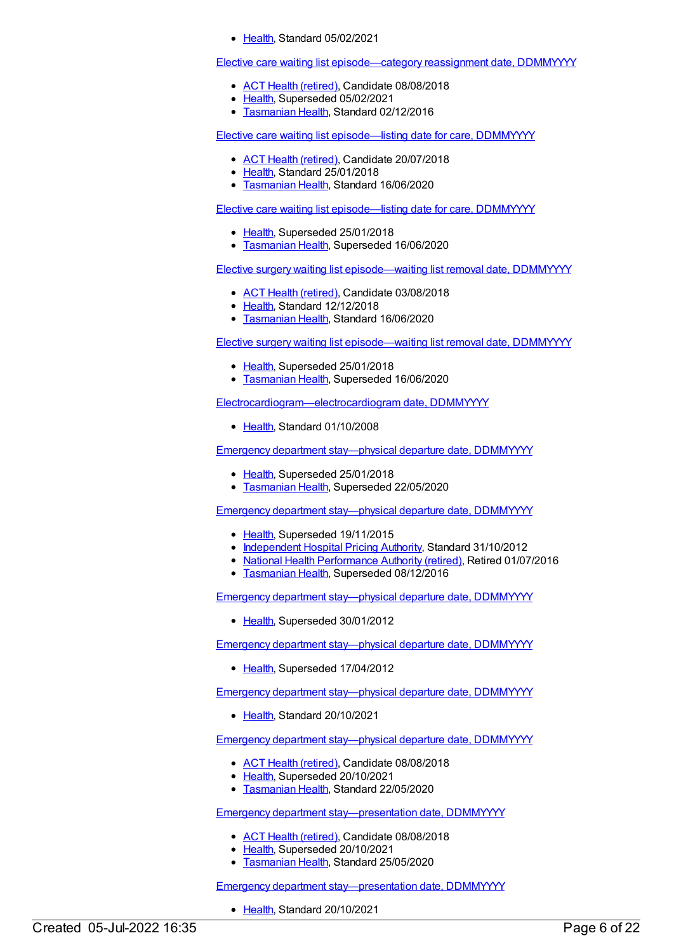[Health](https://meteor.aihw.gov.au/RegistrationAuthority/12), Standard 05/02/2021

Elective care waiting list [episode—category](https://meteor.aihw.gov.au/content/613683) reassignment date, DDMMYYYY

- ACT Health [\(retired\)](https://meteor.aihw.gov.au/RegistrationAuthority/9), Candidate 08/08/2018
- [Health](https://meteor.aihw.gov.au/RegistrationAuthority/12), Superseded 05/02/2021
- **[Tasmanian](https://meteor.aihw.gov.au/RegistrationAuthority/15) Health, Standard 02/12/2016**

Elective care waiting list [episode—listing](https://meteor.aihw.gov.au/content/684808) date for care, DDMMYYYY

- ACT Health [\(retired\)](https://meteor.aihw.gov.au/RegistrationAuthority/9), Candidate 20/07/2018
- [Health](https://meteor.aihw.gov.au/RegistrationAuthority/12), Standard 25/01/2018
- [Tasmanian](https://meteor.aihw.gov.au/RegistrationAuthority/15) Health, Standard 16/06/2020

Elective care waiting list [episode—listing](https://meteor.aihw.gov.au/content/269957) date for care, DDMMYYYY

- [Health](https://meteor.aihw.gov.au/RegistrationAuthority/12), Superseded 25/01/2018
- [Tasmanian](https://meteor.aihw.gov.au/RegistrationAuthority/15) Health, Superseded 16/06/2020

Elective surgery waiting list [episode—waiting](https://meteor.aihw.gov.au/content/684836) list removal date, DDMMYYYY

- ACT Health [\(retired\)](https://meteor.aihw.gov.au/RegistrationAuthority/9), Candidate 03/08/2018
- [Health](https://meteor.aihw.gov.au/RegistrationAuthority/12), Standard 12/12/2018
- **[Tasmanian](https://meteor.aihw.gov.au/RegistrationAuthority/15) Health, Standard 16/06/2020**

Elective surgery waiting list [episode—waiting](https://meteor.aihw.gov.au/content/270082) list removal date, DDMMYYYY

- [Health](https://meteor.aihw.gov.au/RegistrationAuthority/12), Superseded 25/01/2018
- [Tasmanian](https://meteor.aihw.gov.au/RegistrationAuthority/15) Health, Superseded 16/06/2020

[Electrocardiogram—electrocardiogram](https://meteor.aihw.gov.au/content/343820) date, DDMMYYYY

• [Health](https://meteor.aihw.gov.au/RegistrationAuthority/12), Standard 01/10/2008

Emergency department stay-physical departure date, DDMMYYYY

- [Health](https://meteor.aihw.gov.au/RegistrationAuthority/12), Superseded 25/01/2018
- **[Tasmanian](https://meteor.aihw.gov.au/RegistrationAuthority/15) Health, Superseded 22/05/2020**

Emergency department [stay—physical](https://meteor.aihw.gov.au/content/474436) departure date, DDMMYYYY

- [Health](https://meteor.aihw.gov.au/RegistrationAuthority/12), Superseded 19/11/2015
- [Independent](https://meteor.aihw.gov.au/RegistrationAuthority/3) Hospital Pricing Authority, Standard 31/10/2012
- National Health [Performance](https://meteor.aihw.gov.au/RegistrationAuthority/8) Authority (retired), Retired 01/07/2016
- **[Tasmanian](https://meteor.aihw.gov.au/RegistrationAuthority/15) Health, Superseded 08/12/2016**

Emergency department [stay—physical](https://meteor.aihw.gov.au/content/471853) departure date, DDMMYYYY

• [Health](https://meteor.aihw.gov.au/RegistrationAuthority/12), Superseded 30/01/2012

Emergency department [stay—physical](https://meteor.aihw.gov.au/content/322597) departure date, DDMMYYYY

[Health](https://meteor.aihw.gov.au/RegistrationAuthority/12), Superseded 17/04/2012

Emergency department stay--physical departure date, DDMMYYYY

• [Health](https://meteor.aihw.gov.au/RegistrationAuthority/12), Standard 20/10/2021

Emergency department [stay—physical](https://meteor.aihw.gov.au/content/684489) departure date, DDMMYYYY

- ACT Health [\(retired\)](https://meteor.aihw.gov.au/RegistrationAuthority/9), Candidate 08/08/2018
- [Health](https://meteor.aihw.gov.au/RegistrationAuthority/12), Superseded 20/10/2021
- [Tasmanian](https://meteor.aihw.gov.au/RegistrationAuthority/15) Health, Standard 22/05/2020

Emergency department stay-presentation date, DDMMYYYY

- ACT Health [\(retired\)](https://meteor.aihw.gov.au/RegistrationAuthority/9), Candidate 08/08/2018
- [Health](https://meteor.aihw.gov.au/RegistrationAuthority/12), Superseded 20/10/2021
- **[Tasmanian](https://meteor.aihw.gov.au/RegistrationAuthority/15) Health, Standard 25/05/2020**

Emergency department stay-presentation date, DDMMYYYY

• [Health](https://meteor.aihw.gov.au/RegistrationAuthority/12), Standard 20/10/2021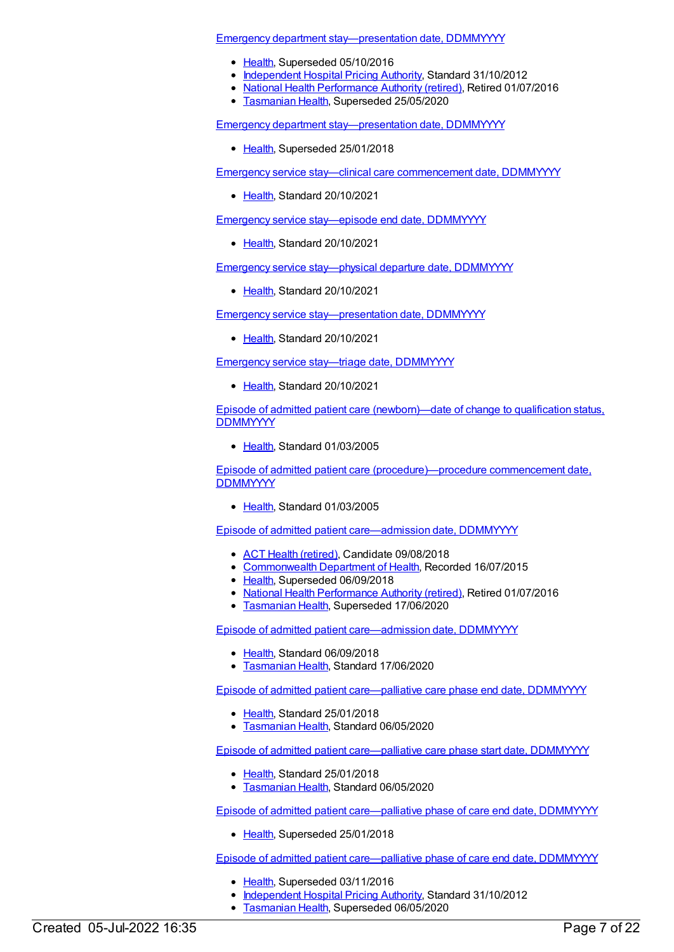Emergency department [stay—presentation](https://meteor.aihw.gov.au/content/471886) date, DDMMYYYY

- [Health](https://meteor.aihw.gov.au/RegistrationAuthority/12), Superseded 05/10/2016
- [Independent](https://meteor.aihw.gov.au/RegistrationAuthority/3) Hospital Pricing Authority, Standard 31/10/2012
- National Health [Performance](https://meteor.aihw.gov.au/RegistrationAuthority/8) Authority (retired), Retired 01/07/2016
- **[Tasmanian](https://meteor.aihw.gov.au/RegistrationAuthority/15) Health, Superseded 25/05/2020**

Emergency department [stay—presentation](https://meteor.aihw.gov.au/content/651867) date, DDMMYYYY

• [Health](https://meteor.aihw.gov.au/RegistrationAuthority/12), Superseded 25/01/2018

Emergency service stay—clinical care [commencement](https://meteor.aihw.gov.au/content/745741) date, DDMMYYYY

[Health](https://meteor.aihw.gov.au/RegistrationAuthority/12), Standard 20/10/2021

Emergency service [stay—episode](https://meteor.aihw.gov.au/content/745755) end date, DDMMYYYY

[Health](https://meteor.aihw.gov.au/RegistrationAuthority/12), Standard 20/10/2021

Emergency service stay--physical departure date, DDMMYYYY

Ealth, Standard 20/10/2021

Emergency service [stay—presentation](https://meteor.aihw.gov.au/content/745724) date, DDMMYYYY

Ealth, Standard 20/10/2021

Emergency service stay—triage date, [DDMMYYYY](https://meteor.aihw.gov.au/content/745778)

Ealth, Standard 20/10/2021

Episode of admitted patient care [\(newborn\)—date](https://meteor.aihw.gov.au/content/270034) of change to qualification status, **DDMMYYYY** 

• [Health](https://meteor.aihw.gov.au/RegistrationAuthority/12), Standard 01/03/2005

Episode of admitted patient care [\(procedure\)—procedure](https://meteor.aihw.gov.au/content/270298) commencement date, **DDMMYYYY** 

[Health](https://meteor.aihw.gov.au/RegistrationAuthority/12), Standard 01/03/2005

Episode of admitted patient [care—admission](https://meteor.aihw.gov.au/content/269967) date, DDMMYYYY

- ACT Health [\(retired\)](https://meteor.aihw.gov.au/RegistrationAuthority/9), Candidate 09/08/2018
- [Commonwealth](https://meteor.aihw.gov.au/RegistrationAuthority/10) Department of Health, Recorded 16/07/2015
- [Health](https://meteor.aihw.gov.au/RegistrationAuthority/12), Superseded 06/09/2018
- National Health [Performance](https://meteor.aihw.gov.au/RegistrationAuthority/8) Authority (retired), Retired 01/07/2016
- [Tasmanian](https://meteor.aihw.gov.au/RegistrationAuthority/15) Health, Superseded 17/06/2020

Episode of admitted patient [care—admission](https://meteor.aihw.gov.au/content/695137) date, DDMMYYYY

- [Health](https://meteor.aihw.gov.au/RegistrationAuthority/12), Standard 06/09/2018
- [Tasmanian](https://meteor.aihw.gov.au/RegistrationAuthority/15) Health, Standard 17/06/2020

Episode of admitted patient [care—palliative](https://meteor.aihw.gov.au/content/681040) care phase end date, DDMMYYYY

- [Health](https://meteor.aihw.gov.au/RegistrationAuthority/12), Standard 25/01/2018
- **[Tasmanian](https://meteor.aihw.gov.au/RegistrationAuthority/15) Health, Standard 06/05/2020**

Episode of admitted patient [care—palliative](https://meteor.aihw.gov.au/content/681043) care phase start date, DDMMYYYY

- [Health](https://meteor.aihw.gov.au/RegistrationAuthority/12), Standard 25/01/2018
- **[Tasmanian](https://meteor.aihw.gov.au/RegistrationAuthority/15) Health, Standard 06/05/2020**

Episode of admitted patient [care—palliative](https://meteor.aihw.gov.au/content/654651) phase of care end date, DDMMYYYY

• [Health](https://meteor.aihw.gov.au/RegistrationAuthority/12), Superseded 25/01/2018

Episode of admitted patient [care—palliative](https://meteor.aihw.gov.au/content/445598) phase of care end date, DDMMYYYY

- [Health](https://meteor.aihw.gov.au/RegistrationAuthority/12), Superseded 03/11/2016
- [Independent](https://meteor.aihw.gov.au/RegistrationAuthority/3) Hospital Pricing Authority, Standard 31/10/2012
- [Tasmanian](https://meteor.aihw.gov.au/RegistrationAuthority/15) Health, Superseded 06/05/2020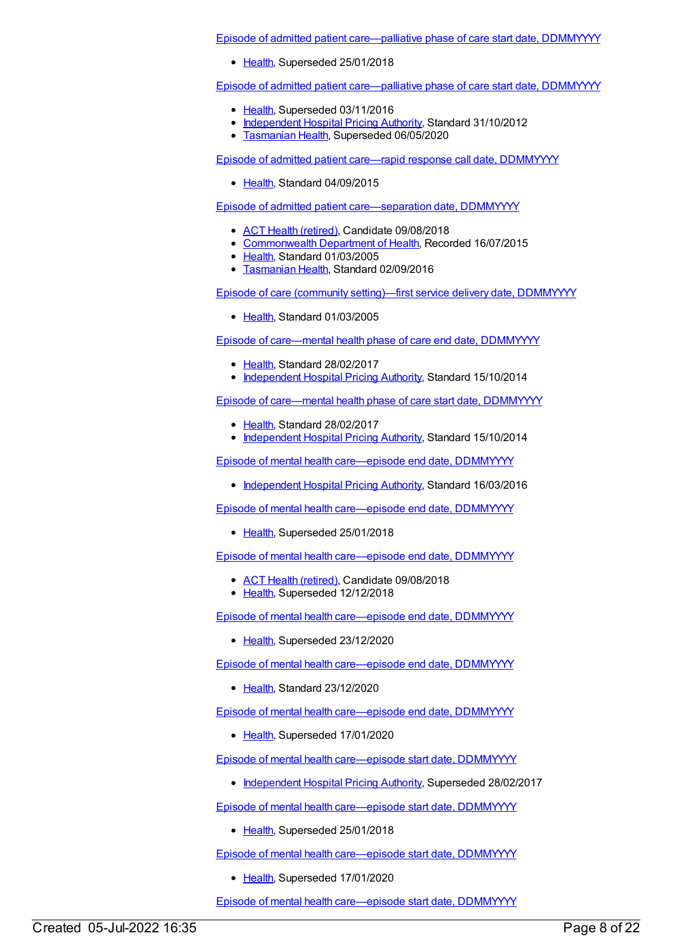Episode of admitted patient [care—palliative](https://meteor.aihw.gov.au/content/654672) phase of care start date, DDMMYYYY

• [Health](https://meteor.aihw.gov.au/RegistrationAuthority/12), Superseded 25/01/2018

Episode of admitted patient [care—palliative](https://meteor.aihw.gov.au/content/445848) phase of care start date, DDMMYYYY

- [Health](https://meteor.aihw.gov.au/RegistrationAuthority/12), Superseded 03/11/2016
- [Independent](https://meteor.aihw.gov.au/RegistrationAuthority/3) Hospital Pricing Authority, Standard 31/10/2012
- [Tasmanian](https://meteor.aihw.gov.au/RegistrationAuthority/15) Health, Superseded 06/05/2020

Episode of admitted patient care—rapid response call date, [DDMMYYYY](https://meteor.aihw.gov.au/content/592972)

[Health](https://meteor.aihw.gov.au/RegistrationAuthority/12), Standard 04/09/2015

Episode of admitted patient [care—separation](https://meteor.aihw.gov.au/content/270025) date, DDMMYYYY

- ACT Health [\(retired\)](https://meteor.aihw.gov.au/RegistrationAuthority/9), Candidate 09/08/2018
- [Commonwealth](https://meteor.aihw.gov.au/RegistrationAuthority/10) Department of Health, Recorded 16/07/2015
- [Health](https://meteor.aihw.gov.au/RegistrationAuthority/12), Standard 01/03/2005
- **[Tasmanian](https://meteor.aihw.gov.au/RegistrationAuthority/15) Health, Standard 02/09/2016**

Episode of care (community [setting\)—first](https://meteor.aihw.gov.au/content/270210) service delivery date, DDMMYYYY

[Health](https://meteor.aihw.gov.au/RegistrationAuthority/12), Standard 01/03/2005

Episode of [care—mental](https://meteor.aihw.gov.au/content/575251) health phase of care end date, DDMMYYYY

- [Health](https://meteor.aihw.gov.au/RegistrationAuthority/12), Standard 28/02/2017
- [Independent](https://meteor.aihw.gov.au/RegistrationAuthority/3) Hospital Pricing Authority, Standard 15/10/2014

Episode of [care—mental](https://meteor.aihw.gov.au/content/575257) health phase of care start date, DDMMYYYY

- [Health](https://meteor.aihw.gov.au/RegistrationAuthority/12), Standard 28/02/2017
- [Independent](https://meteor.aihw.gov.au/RegistrationAuthority/3) Hospital Pricing Authority, Standard 15/10/2014

Episode of mental health [care—episode](https://meteor.aihw.gov.au/content/614096) end date, DDMMYYYY

• [Independent](https://meteor.aihw.gov.au/RegistrationAuthority/3) Hospital Pricing Authority, Standard 16/03/2016

Episode of mental health [care—episode](https://meteor.aihw.gov.au/content/653344) end date, DDMMYYYY

• [Health](https://meteor.aihw.gov.au/RegistrationAuthority/12), Superseded 25/01/2018

Episode of mental health [care—episode](https://meteor.aihw.gov.au/content/680891) end date, DDMMYYYY

- ACT Health [\(retired\)](https://meteor.aihw.gov.au/RegistrationAuthority/9), Candidate 09/08/2018
- [Health](https://meteor.aihw.gov.au/RegistrationAuthority/12), Superseded 12/12/2018

Episode of mental health [care—episode](https://meteor.aihw.gov.au/content/717758) end date, DDMMYYYY

• [Health](https://meteor.aihw.gov.au/RegistrationAuthority/12), Superseded 23/12/2020

Episode of mental health [care—episode](https://meteor.aihw.gov.au/content/730859) end date, DDMMYYYY

• [Health](https://meteor.aihw.gov.au/RegistrationAuthority/12), Standard 23/12/2020

Episode of mental health [care—episode](https://meteor.aihw.gov.au/content/702525) end date, DDMMYYYY

• [Health](https://meteor.aihw.gov.au/RegistrationAuthority/12), Superseded 17/01/2020

Episode of mental health [care—episode](https://meteor.aihw.gov.au/content/614072) start date, DDMMYYYY

• [Independent](https://meteor.aihw.gov.au/RegistrationAuthority/3) Hospital Pricing Authority, Superseded 28/02/2017

Episode of mental health [care—episode](https://meteor.aihw.gov.au/content/653738) start date, DDMMYYYY

• [Health](https://meteor.aihw.gov.au/RegistrationAuthority/12), Superseded 25/01/2018

Episode of mental health [care—episode](https://meteor.aihw.gov.au/content/680898) start date, DDMMYYYY

• [Health](https://meteor.aihw.gov.au/RegistrationAuthority/12), Superseded 17/01/2020

Episode of mental health [care—episode](https://meteor.aihw.gov.au/content/722601) start date, DDMMYYYY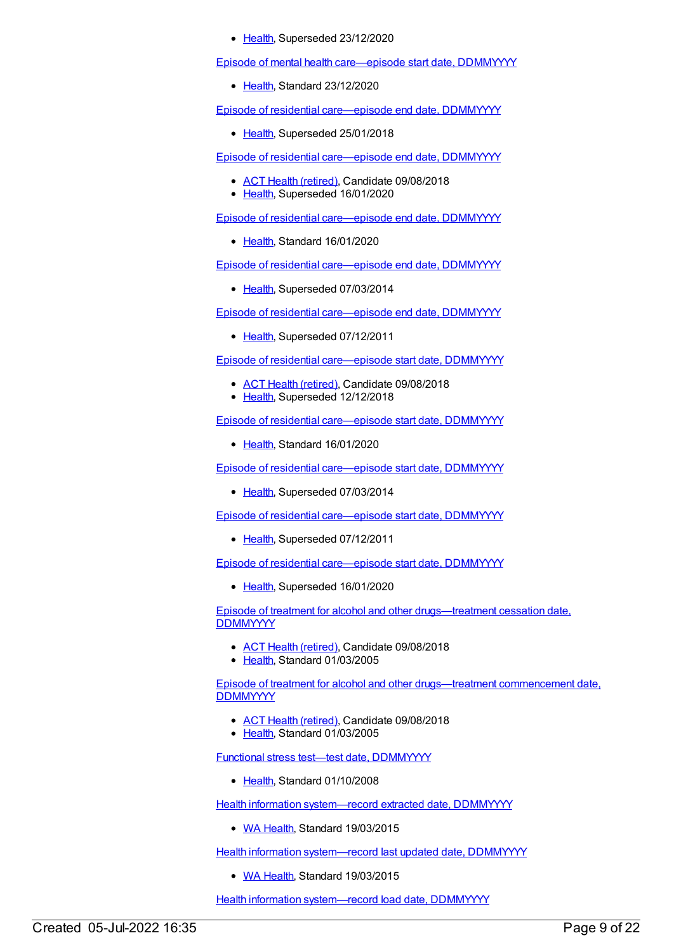• [Health](https://meteor.aihw.gov.au/RegistrationAuthority/12), Superseded 23/12/2020

Episode of mental health [care—episode](https://meteor.aihw.gov.au/content/730809) start date, DDMMYYYY

• [Health](https://meteor.aihw.gov.au/RegistrationAuthority/12), Standard 23/12/2020

Episode of residential [care—episode](https://meteor.aihw.gov.au/content/534037) end date, DDMMYYYY

• [Health](https://meteor.aihw.gov.au/RegistrationAuthority/12), Superseded 25/01/2018

Episode of residential [care—episode](https://meteor.aihw.gov.au/content/685913) end date, DDMMYYYY

- ACT Health [\(retired\)](https://meteor.aihw.gov.au/RegistrationAuthority/9), Candidate 09/08/2018
- [Health](https://meteor.aihw.gov.au/RegistrationAuthority/12), Superseded 16/01/2020

Episode of residential [care—episode](https://meteor.aihw.gov.au/content/723189) end date, DDMMYYYY

[Health](https://meteor.aihw.gov.au/RegistrationAuthority/12), Standard 16/01/2020

Episode of residential [care—episode](https://meteor.aihw.gov.au/content/417650) end date, DDMMYYYY

• [Health](https://meteor.aihw.gov.au/RegistrationAuthority/12), Superseded 07/03/2014

Episode of residential [care—episode](https://meteor.aihw.gov.au/content/270062) end date, DDMMYYYY

• [Health](https://meteor.aihw.gov.au/RegistrationAuthority/12), Superseded 07/12/2011

Episode of residential [care—episode](https://meteor.aihw.gov.au/content/534048) start date, DDMMYYYY

- ACT Health [\(retired\)](https://meteor.aihw.gov.au/RegistrationAuthority/9), Candidate 09/08/2018
- [Health](https://meteor.aihw.gov.au/RegistrationAuthority/12), Superseded 12/12/2018

Episode of residential [care—episode](https://meteor.aihw.gov.au/content/723194) start date, DDMMYYYY

• [Health](https://meteor.aihw.gov.au/RegistrationAuthority/12), Standard 16/01/2020

Episode of residential [care—episode](https://meteor.aihw.gov.au/content/417636) start date, DDMMYYYY

• [Health](https://meteor.aihw.gov.au/RegistrationAuthority/12), Superseded 07/03/2014

Episode of residential [care—episode](https://meteor.aihw.gov.au/content/270064) start date, DDMMYYYY

• [Health](https://meteor.aihw.gov.au/RegistrationAuthority/12), Superseded 07/12/2011

Episode of residential [care—episode](https://meteor.aihw.gov.au/content/707514) start date, DDMMYYYY

• [Health](https://meteor.aihw.gov.au/RegistrationAuthority/12), Superseded 16/01/2020

Episode of treatment for alcohol and other [drugs—treatment](https://meteor.aihw.gov.au/content/270067) cessation date, **DDMMYYYY** 

- ACT Health [\(retired\)](https://meteor.aihw.gov.au/RegistrationAuthority/9), Candidate 09/08/2018
- [Health](https://meteor.aihw.gov.au/RegistrationAuthority/12), Standard 01/03/2005

Episode of treatment for alcohol and other [drugs—treatment](https://meteor.aihw.gov.au/content/270069) commencement date, **DDMMYYYY** 

- ACT Health [\(retired\)](https://meteor.aihw.gov.au/RegistrationAuthority/9), Candidate 09/08/2018
- [Health](https://meteor.aihw.gov.au/RegistrationAuthority/12), Standard 01/03/2005

Functional stress test—test date, [DDMMYYYY](https://meteor.aihw.gov.au/content/347054)

• [Health](https://meteor.aihw.gov.au/RegistrationAuthority/12), Standard 01/10/2008

Health information [system—record](https://meteor.aihw.gov.au/content/493954) extracted date, DDMMYYYY

• WA [Health](https://meteor.aihw.gov.au/RegistrationAuthority/2), Standard 19/03/2015

Health information [system—record](https://meteor.aihw.gov.au/content/572667) last updated date, DDMMYYYY

• WA [Health](https://meteor.aihw.gov.au/RegistrationAuthority/2), Standard 19/03/2015

Health information [system—record](https://meteor.aihw.gov.au/content/493956) load date, DDMMYYYY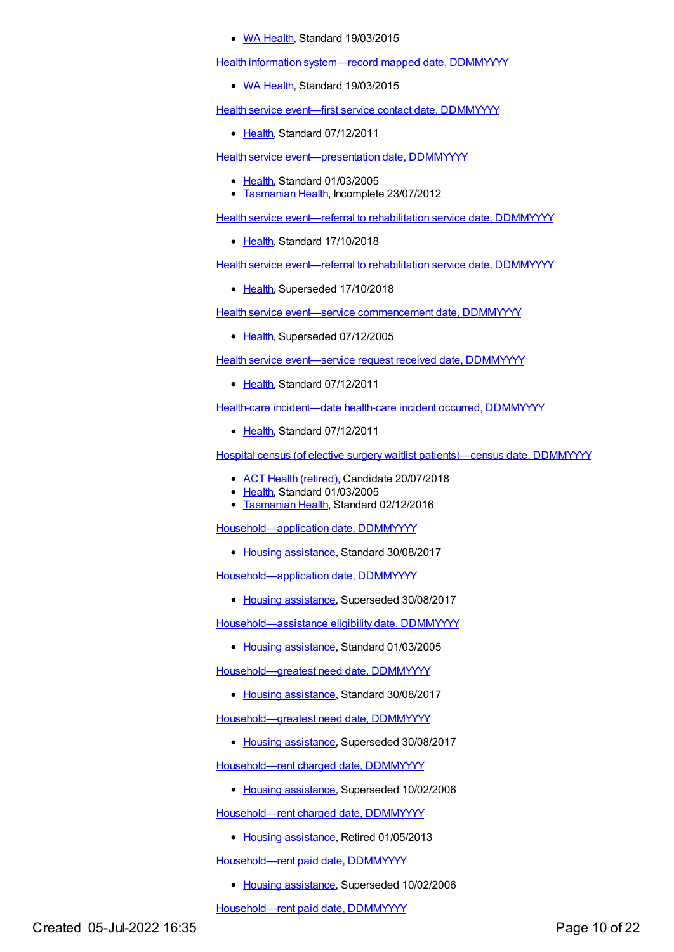#### • WA [Health](https://meteor.aihw.gov.au/RegistrationAuthority/2), Standard 19/03/2015

Health information [system—record](https://meteor.aihw.gov.au/content/493958) mapped date, DDMMYYYY

• WA [Health](https://meteor.aihw.gov.au/RegistrationAuthority/2), Standard 19/03/2015

Health service event—first service contact date, [DDMMYYYY](https://meteor.aihw.gov.au/content/447930)

• [Health](https://meteor.aihw.gov.au/RegistrationAuthority/12), Standard 07/12/2011

Health service event-presentation date, DDMMYYYY

- [Health](https://meteor.aihw.gov.au/RegistrationAuthority/12), Standard 01/03/2005
- [Tasmanian](https://meteor.aihw.gov.au/RegistrationAuthority/15) Health, Incomplete 23/07/2012

Health service event-referral to rehabilitation service date, DDMMYYYY

[Health](https://meteor.aihw.gov.au/RegistrationAuthority/12), Standard 17/10/2018

Health service event-referral to rehabilitation service date, DDMMYYYY

• [Health](https://meteor.aihw.gov.au/RegistrationAuthority/12), Superseded 17/10/2018

Health service event—service [commencement](https://meteor.aihw.gov.au/content/270089) date, DDMMYYYY

• [Health](https://meteor.aihw.gov.au/RegistrationAuthority/12), Superseded 07/12/2005

Health service [event—service](https://meteor.aihw.gov.au/content/447938) request received date, DDMMYYYY

• [Health](https://meteor.aihw.gov.au/RegistrationAuthority/12), Standard 07/12/2011

Health-care [incident—date](https://meteor.aihw.gov.au/content/329661) health-care incident occurred, DDMMYYYY

• [Health](https://meteor.aihw.gov.au/RegistrationAuthority/12), Standard 07/12/2011

Hospital census (of elective surgery waitlist [patients\)—census](https://meteor.aihw.gov.au/content/270153) date, DDMMYYYY

- ACT Health [\(retired\)](https://meteor.aihw.gov.au/RegistrationAuthority/9), Candidate 20/07/2018
- Elealth, Standard 01/03/2005
- **[Tasmanian](https://meteor.aihw.gov.au/RegistrationAuthority/15) Health, Standard 02/12/2016**

[Household—application](https://meteor.aihw.gov.au/content/607872) date, DDMMYYYY

• Housing [assistance](https://meteor.aihw.gov.au/RegistrationAuthority/11), Standard 30/08/2017

[Household—application](https://meteor.aihw.gov.au/content/472571) date, DDMMYYYY

• Housing [assistance](https://meteor.aihw.gov.au/RegistrationAuthority/11), Superseded 30/08/2017

[Household—assistance](https://meteor.aihw.gov.au/content/270241) eligibility date, DDMMYYYY

• Housing [assistance](https://meteor.aihw.gov.au/RegistrationAuthority/11), Standard 01/03/2005

[Household—greatest](https://meteor.aihw.gov.au/content/605815) need date, DDMMYYYY

• Housing [assistance](https://meteor.aihw.gov.au/RegistrationAuthority/11), Standard 30/08/2017

[Household—greatest](https://meteor.aihw.gov.au/content/388447) need date, DDMMYYYY

• Housing [assistance](https://meteor.aihw.gov.au/RegistrationAuthority/11), Superseded 30/08/2017

[Household—rent](https://meteor.aihw.gov.au/content/270288) charged date, DDMMYYYY

• Housing [assistance](https://meteor.aihw.gov.au/RegistrationAuthority/11), Superseded 10/02/2006

[Household—rent](https://meteor.aihw.gov.au/content/302731) charged date, DDMMYYYY

• Housing [assistance](https://meteor.aihw.gov.au/RegistrationAuthority/11), Retired 01/05/2013

[Household—rent](https://meteor.aihw.gov.au/content/270289) paid date, DDMMYYYY

• Housing [assistance](https://meteor.aihw.gov.au/RegistrationAuthority/11), Superseded 10/02/2006

[Household—rent](https://meteor.aihw.gov.au/content/302720) paid date, DDMMYYYY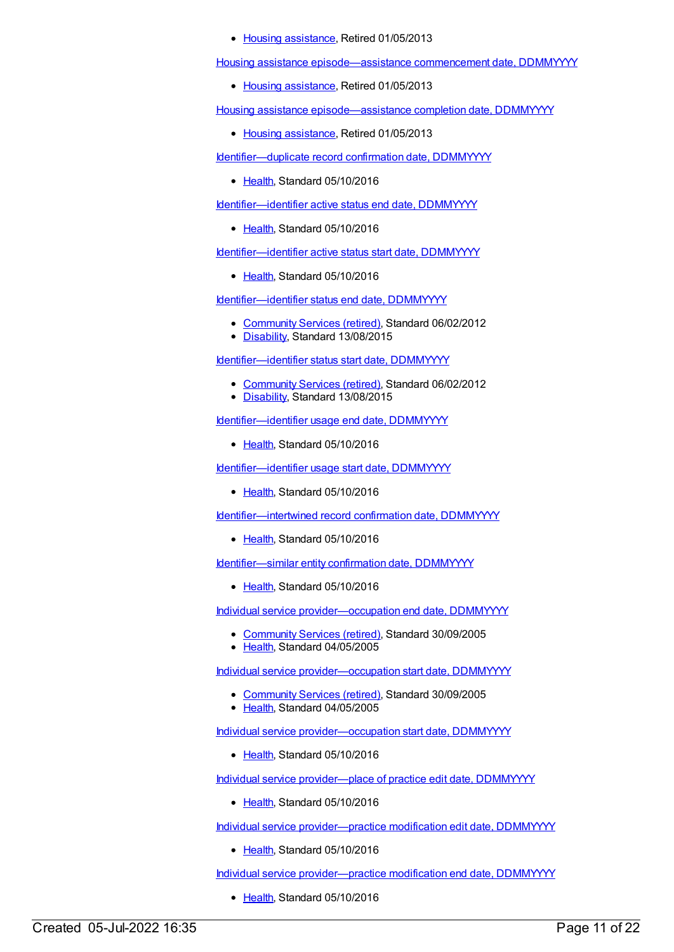• Housing [assistance](https://meteor.aihw.gov.au/RegistrationAuthority/11), Retired 01/05/2013

Housing assistance [episode—assistance](https://meteor.aihw.gov.au/content/270233) commencement date, DDMMYYYY

• Housing [assistance](https://meteor.aihw.gov.au/RegistrationAuthority/11), Retired 01/05/2013

Housing assistance [episode—assistance](https://meteor.aihw.gov.au/content/270234) completion date, DDMMYYYY

• Housing [assistance](https://meteor.aihw.gov.au/RegistrationAuthority/11), Retired 01/05/2013

Identifier-duplicate record confirmation date, DDMMYYYY

• [Health](https://meteor.aihw.gov.au/RegistrationAuthority/12), Standard 05/10/2016

Identifier-identifier active status end date, DDMMYYYY

• [Health](https://meteor.aihw.gov.au/RegistrationAuthority/12), Standard 05/10/2016

[Identifier—identifier](https://meteor.aihw.gov.au/content/612764) active status start date, DDMMYYYY

• [Health](https://meteor.aihw.gov.au/RegistrationAuthority/12), Standard 05/10/2016

[Identifier—identifier](https://meteor.aihw.gov.au/content/466264) status end date, DDMMYYYY

- [Community](https://meteor.aihw.gov.au/RegistrationAuthority/1) Services (retired), Standard 06/02/2012
- [Disability](https://meteor.aihw.gov.au/RegistrationAuthority/16), Standard 13/08/2015

[Identifier—identifier](https://meteor.aihw.gov.au/content/466256) status start date, DDMMYYYY

- [Community](https://meteor.aihw.gov.au/RegistrationAuthority/1) Services (retired), Standard 06/02/2012
- [Disability](https://meteor.aihw.gov.au/RegistrationAuthority/16), Standard 13/08/2015

Identifier-identifier usage end date, DDMMYYYY

• [Health](https://meteor.aihw.gov.au/RegistrationAuthority/12), Standard 05/10/2016

[Identifier—identifier](https://meteor.aihw.gov.au/content/520708) usage start date, DDMMYYYY

• [Health](https://meteor.aihw.gov.au/RegistrationAuthority/12), Standard 05/10/2016

[Identifier—intertwined](https://meteor.aihw.gov.au/content/638723) record confirmation date, DDMMYYYY

• [Health](https://meteor.aihw.gov.au/RegistrationAuthority/12), Standard 05/10/2016

Identifier-similar entity confirmation date, DDMMYYYY

• [Health](https://meteor.aihw.gov.au/RegistrationAuthority/12), Standard 05/10/2016

Individual service [provider—occupation](https://meteor.aihw.gov.au/content/289053) end date, DDMMYYYY

- [Community](https://meteor.aihw.gov.au/RegistrationAuthority/1) Services (retired), Standard 30/09/2005
- [Health](https://meteor.aihw.gov.au/RegistrationAuthority/12), Standard 04/05/2005

Individual service [provider—occupation](https://meteor.aihw.gov.au/content/289059) start date, DDMMYYYY

- [Community](https://meteor.aihw.gov.au/RegistrationAuthority/1) Services (retired), Standard 30/09/2005
- [Health](https://meteor.aihw.gov.au/RegistrationAuthority/12), Standard 04/05/2005

Individual service [provider—occupation](https://meteor.aihw.gov.au/content/523971) start date, DDMMYYYY

• [Health](https://meteor.aihw.gov.au/RegistrationAuthority/12), Standard 05/10/2016

Individual service [provider—place](https://meteor.aihw.gov.au/content/523751) of practice edit date, DDMMYYYY

• [Health](https://meteor.aihw.gov.au/RegistrationAuthority/12), Standard 05/10/2016

Individual service [provider—practice](https://meteor.aihw.gov.au/content/525136) modification edit date, DDMMYYYY

[Health](https://meteor.aihw.gov.au/RegistrationAuthority/12), Standard 05/10/2016

Individual service [provider—practice](https://meteor.aihw.gov.au/content/525143) modification end date, DDMMYYYY

• [Health](https://meteor.aihw.gov.au/RegistrationAuthority/12), Standard 05/10/2016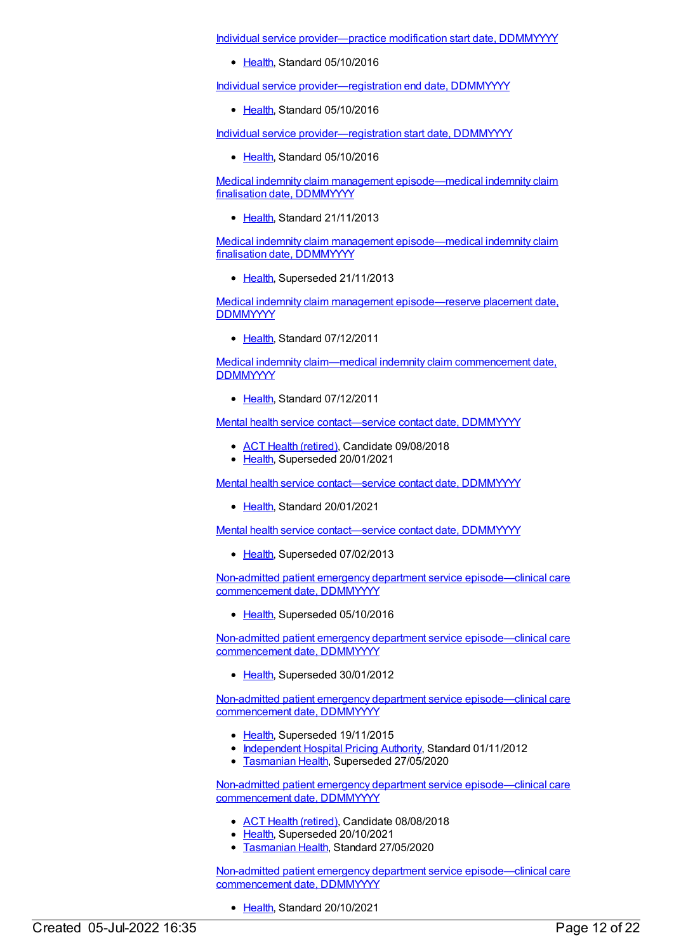Individual service [provider—practice](https://meteor.aihw.gov.au/content/525126) modification start date, DDMMYYYY

• [Health](https://meteor.aihw.gov.au/RegistrationAuthority/12), Standard 05/10/2016

Individual service [provider—registration](https://meteor.aihw.gov.au/content/524519) end date, DDMMYYYY

[Health](https://meteor.aihw.gov.au/RegistrationAuthority/12), Standard 05/10/2016

Individual service [provider—registration](https://meteor.aihw.gov.au/content/524512) start date, DDMMYYYY

• [Health](https://meteor.aihw.gov.au/RegistrationAuthority/12), Standard 05/10/2016

Medical indemnity claim management [episode—medical](https://meteor.aihw.gov.au/content/535262) indemnity claim finalisation date, DDMMYYYY

• [Health](https://meteor.aihw.gov.au/RegistrationAuthority/12), Standard 21/11/2013

Medical indemnity claim management [episode—medical](https://meteor.aihw.gov.au/content/329635) indemnity claim finalisation date, DDMMYYYY

• [Health](https://meteor.aihw.gov.au/RegistrationAuthority/12), Superseded 21/11/2013

Medical indemnity claim management [episode—reserve](https://meteor.aihw.gov.au/content/329690) placement date, **DDMMYYYY** 

• [Health](https://meteor.aihw.gov.au/RegistrationAuthority/12), Standard 07/12/2011

Medical indemnity claim—medical indemnity claim [commencement](https://meteor.aihw.gov.au/content/329623) date, **DDMMYYYY** 

Ealth, Standard 07/12/2011

Mental health service [contact—service](https://meteor.aihw.gov.au/content/494343) contact date, DDMMYYYY

- ACT Health [\(retired\)](https://meteor.aihw.gov.au/RegistrationAuthority/9), Candidate 09/08/2018
- [Health](https://meteor.aihw.gov.au/RegistrationAuthority/12), Superseded 20/01/2021

Mental health service [contact—service](https://meteor.aihw.gov.au/content/737299) contact date, DDMMYYYY

[Health](https://meteor.aihw.gov.au/RegistrationAuthority/12), Standard 20/01/2021

Mental health service [contact—service](https://meteor.aihw.gov.au/content/295481) contact date, DDMMYYYY

• [Health](https://meteor.aihw.gov.au/RegistrationAuthority/12), Superseded 07/02/2013

Non-admitted patient emergency department service [episode—clinical](https://meteor.aihw.gov.au/content/621842) care commencement date, DDMMYYYY

• [Health](https://meteor.aihw.gov.au/RegistrationAuthority/12), Superseded 05/10/2016

Non-admitted patient emergency department service [episode—clinical](https://meteor.aihw.gov.au/content/471907) care commencement date, DDMMYYYY

[Health](https://meteor.aihw.gov.au/RegistrationAuthority/12), Superseded 30/01/2012

Non-admitted patient emergency department service [episode—clinical](https://meteor.aihw.gov.au/content/474116) care commencement date, DDMMYYYY

- [Health](https://meteor.aihw.gov.au/RegistrationAuthority/12), Superseded 19/11/2015
- [Independent](https://meteor.aihw.gov.au/RegistrationAuthority/3) Hospital Pricing Authority, Standard 01/11/2012
- **[Tasmanian](https://meteor.aihw.gov.au/RegistrationAuthority/15) Health, Superseded 27/05/2020**

Non-admitted patient emergency department service [episode—clinical](https://meteor.aihw.gov.au/content/652390) care commencement date, DDMMYYYY

- ACT Health [\(retired\)](https://meteor.aihw.gov.au/RegistrationAuthority/9), Candidate 08/08/2018
- [Health](https://meteor.aihw.gov.au/RegistrationAuthority/12), Superseded 20/10/2021
- [Tasmanian](https://meteor.aihw.gov.au/RegistrationAuthority/15) Health, Standard 27/05/2020

Non-admitted patient emergency department service [episode—clinical](https://meteor.aihw.gov.au/content/746613) care commencement date, DDMMYYYY

• [Health](https://meteor.aihw.gov.au/RegistrationAuthority/12), Standard 20/10/2021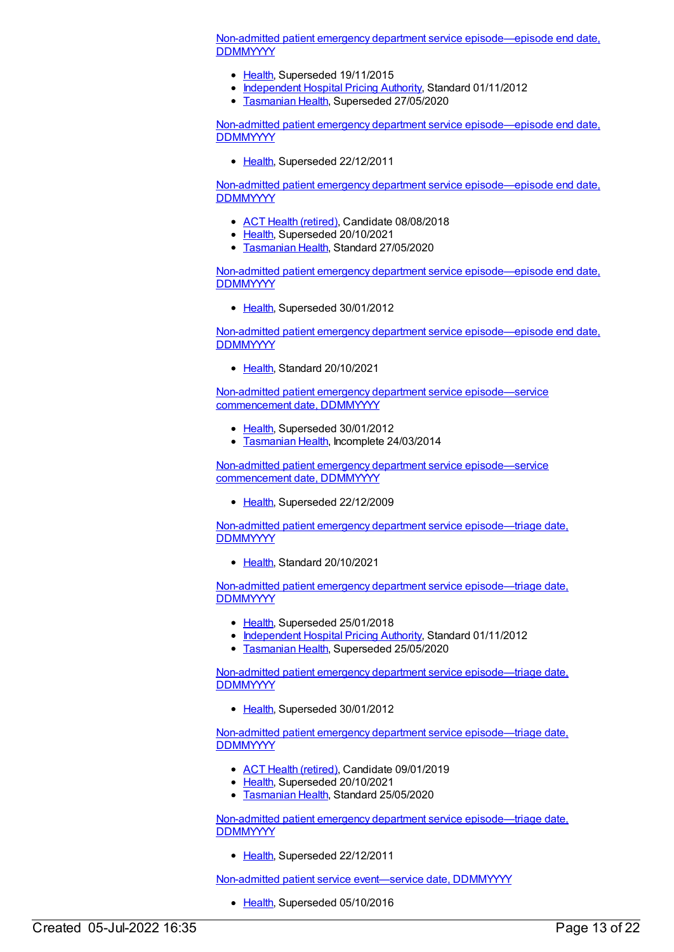Non-admitted patient emergency department service [episode—episode](https://meteor.aihw.gov.au/content/474138) end date, **DDMMYYYY** 

- [Health](https://meteor.aihw.gov.au/RegistrationAuthority/12), Superseded 19/11/2015
- [Independent](https://meteor.aihw.gov.au/RegistrationAuthority/3) Hospital Pricing Authority, Standard 01/11/2012
- **[Tasmanian](https://meteor.aihw.gov.au/RegistrationAuthority/15) Health, Superseded 27/05/2020**

Non-admitted patient emergency department service [episode—episode](https://meteor.aihw.gov.au/content/322616) end date, **DDMMYYYY** 

• [Health](https://meteor.aihw.gov.au/RegistrationAuthority/12), Superseded 22/12/2011

Non-admitted patient emergency department service [episode—episode](https://meteor.aihw.gov.au/content/621850) end date, **DDMMYYYY** 

- ACT Health [\(retired\)](https://meteor.aihw.gov.au/RegistrationAuthority/9), Candidate 08/08/2018
- [Health](https://meteor.aihw.gov.au/RegistrationAuthority/12), Superseded 20/10/2021
- [Tasmanian](https://meteor.aihw.gov.au/RegistrationAuthority/15) Health, Standard 27/05/2020

Non-admitted patient emergency department service [episode—episode](https://meteor.aihw.gov.au/content/471898) end date, **DDMMYYYY** 

• [Health](https://meteor.aihw.gov.au/RegistrationAuthority/12), Superseded 30/01/2012

Non-admitted patient emergency department service [episode—episode](https://meteor.aihw.gov.au/content/746704) end date, **DDMMYYYY** 

● [Health](https://meteor.aihw.gov.au/RegistrationAuthority/12), Standard 20/10/2021

Non-admitted patient emergency department service [episode—service](https://meteor.aihw.gov.au/content/390398) commencement date, DDMMYYYY

- [Health](https://meteor.aihw.gov.au/RegistrationAuthority/12), Superseded 30/01/2012
- **[Tasmanian](https://meteor.aihw.gov.au/RegistrationAuthority/15) Health, Incomplete 24/03/2014**

Non-admitted patient emergency department service [episode—service](https://meteor.aihw.gov.au/content/313801) commencement date, DDMMYYYY

• [Health](https://meteor.aihw.gov.au/RegistrationAuthority/12), Superseded 22/12/2009

Non-admitted patient emergency department service [episode—triage](https://meteor.aihw.gov.au/content/746632) date, **DDMMYYYY** 

• [Health](https://meteor.aihw.gov.au/RegistrationAuthority/12), Standard 20/10/2021

Non-admitted patient emergency department service [episode—triage](https://meteor.aihw.gov.au/content/474189) date, **DDMMYYYY** 

- [Health](https://meteor.aihw.gov.au/RegistrationAuthority/12), Superseded 25/01/2018
- [Independent](https://meteor.aihw.gov.au/RegistrationAuthority/3) Hospital Pricing Authority, Standard 01/11/2012
- **[Tasmanian](https://meteor.aihw.gov.au/RegistrationAuthority/15) Health, Superseded 25/05/2020**

Non-admitted patient emergency department service [episode—triage](https://meteor.aihw.gov.au/content/473159) date, **DDMMYYYY** 

• [Health](https://meteor.aihw.gov.au/RegistrationAuthority/12), Superseded 30/01/2012

Non-admitted patient emergency department service [episode—triage](https://meteor.aihw.gov.au/content/684890) date, **DDMMYYYY** 

- ACT Health [\(retired\)](https://meteor.aihw.gov.au/RegistrationAuthority/9), Candidate 09/01/2019
- [Health](https://meteor.aihw.gov.au/RegistrationAuthority/12), Superseded 20/10/2021
- **[Tasmanian](https://meteor.aihw.gov.au/RegistrationAuthority/15) Health, Standard 25/05/2020**

Non-admitted patient emergency department service [episode—triage](https://meteor.aihw.gov.au/content/313815) date, **DDMMYYYY** 

• [Health](https://meteor.aihw.gov.au/RegistrationAuthority/12), Superseded 22/12/2011

Non-admitted patient service [event—service](https://meteor.aihw.gov.au/content/584093) date, DDMMYYYY

• [Health](https://meteor.aihw.gov.au/RegistrationAuthority/12), Superseded 05/10/2016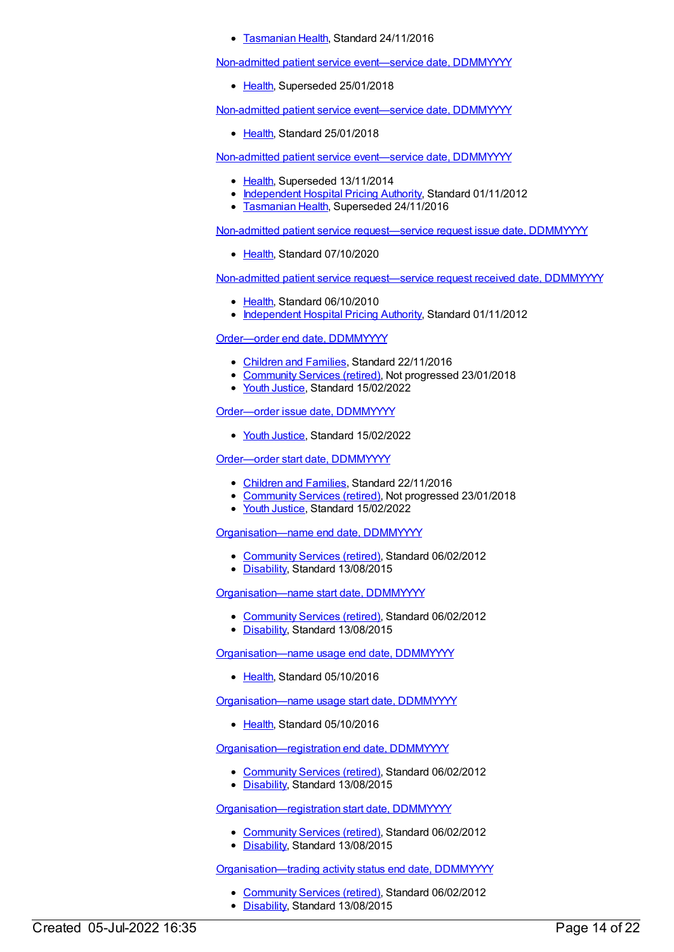**• [Tasmanian](https://meteor.aihw.gov.au/RegistrationAuthority/15) Health, Standard 24/11/2016** 

Non-admitted patient service [event—service](https://meteor.aihw.gov.au/content/652503) date, DDMMYYYY

• [Health](https://meteor.aihw.gov.au/RegistrationAuthority/12), Superseded 25/01/2018

Non-admitted patient service [event—service](https://meteor.aihw.gov.au/content/680434) date, DDMMYYYY

[Health](https://meteor.aihw.gov.au/RegistrationAuthority/12), Standard 25/01/2018

Non-admitted patient service [event—service](https://meteor.aihw.gov.au/content/400673) date, DDMMYYYY

- [Health](https://meteor.aihw.gov.au/RegistrationAuthority/12), Superseded 13/11/2014
- [Independent](https://meteor.aihw.gov.au/RegistrationAuthority/3) Hospital Pricing Authority, Standard 01/11/2012
- **[Tasmanian](https://meteor.aihw.gov.au/RegistrationAuthority/15) Health, Superseded 24/11/2016**

Non-admitted patient service [request—service](https://meteor.aihw.gov.au/content/596448) request issue date, DDMMYYYY

• [Health](https://meteor.aihw.gov.au/RegistrationAuthority/12), Standard 07/10/2020

Non-admitted patient service [request—service](https://meteor.aihw.gov.au/content/400713) request received date, DDMMYYYY

- [Health](https://meteor.aihw.gov.au/RegistrationAuthority/12), Standard 06/10/2010
- [Independent](https://meteor.aihw.gov.au/RegistrationAuthority/3) Hospital Pricing Authority, Standard 01/11/2012

[Order—order](https://meteor.aihw.gov.au/content/536554) end date, DDMMYYYY

- [Children](https://meteor.aihw.gov.au/RegistrationAuthority/17) and Families, Standard 22/11/2016
- [Community](https://meteor.aihw.gov.au/RegistrationAuthority/1) Services (retired), Not progressed 23/01/2018
- Youth [Justice](https://meteor.aihw.gov.au/RegistrationAuthority/4), Standard 15/02/2022

[Order—order](https://meteor.aihw.gov.au/content/743888) issue date, DDMMYYYY

• Youth [Justice](https://meteor.aihw.gov.au/RegistrationAuthority/4), Standard 15/02/2022

[Order—order](https://meteor.aihw.gov.au/content/536550) start date, DDMMYYYY

- [Children](https://meteor.aihw.gov.au/RegistrationAuthority/17) and Families, Standard 22/11/2016
- [Community](https://meteor.aihw.gov.au/RegistrationAuthority/1) Services (retired), Not progressed 23/01/2018
- Vouth [Justice](https://meteor.aihw.gov.au/RegistrationAuthority/4), Standard 15/02/2022

[Organisation—name](https://meteor.aihw.gov.au/content/431293) end date, DDMMYYYY

- [Community](https://meteor.aihw.gov.au/RegistrationAuthority/1) Services (retired), Standard 06/02/2012
- [Disability](https://meteor.aihw.gov.au/RegistrationAuthority/16), Standard 13/08/2015

[Organisation—name](https://meteor.aihw.gov.au/content/431187) start date, DDMMYYYY

- [Community](https://meteor.aihw.gov.au/RegistrationAuthority/1) Services (retired), Standard 06/02/2012
- [Disability](https://meteor.aihw.gov.au/RegistrationAuthority/16), Standard 13/08/2015

[Organisation—name](https://meteor.aihw.gov.au/content/525408) usage end date, DDMMYYYY

• [Health](https://meteor.aihw.gov.au/RegistrationAuthority/12), Standard 05/10/2016

[Organisation—name](https://meteor.aihw.gov.au/content/525400) usage start date, DDMMYYYY

[Health](https://meteor.aihw.gov.au/RegistrationAuthority/12), Standard 05/10/2016

[Organisation—registration](https://meteor.aihw.gov.au/content/433340) end date, DDMMYYYY

- [Community](https://meteor.aihw.gov.au/RegistrationAuthority/1) Services (retired), Standard 06/02/2012
- [Disability](https://meteor.aihw.gov.au/RegistrationAuthority/16), Standard 13/08/2015

[Organisation—registration](https://meteor.aihw.gov.au/content/433251) start date, DDMMYYYY

- [Community](https://meteor.aihw.gov.au/RegistrationAuthority/1) Services (retired), Standard 06/02/2012
- [Disability](https://meteor.aihw.gov.au/RegistrationAuthority/16), Standard 13/08/2015

[Organisation—trading](https://meteor.aihw.gov.au/content/432410) activity status end date, DDMMYYYY

- [Community](https://meteor.aihw.gov.au/RegistrationAuthority/1) Services (retired), Standard 06/02/2012
- [Disability](https://meteor.aihw.gov.au/RegistrationAuthority/16), Standard 13/08/2015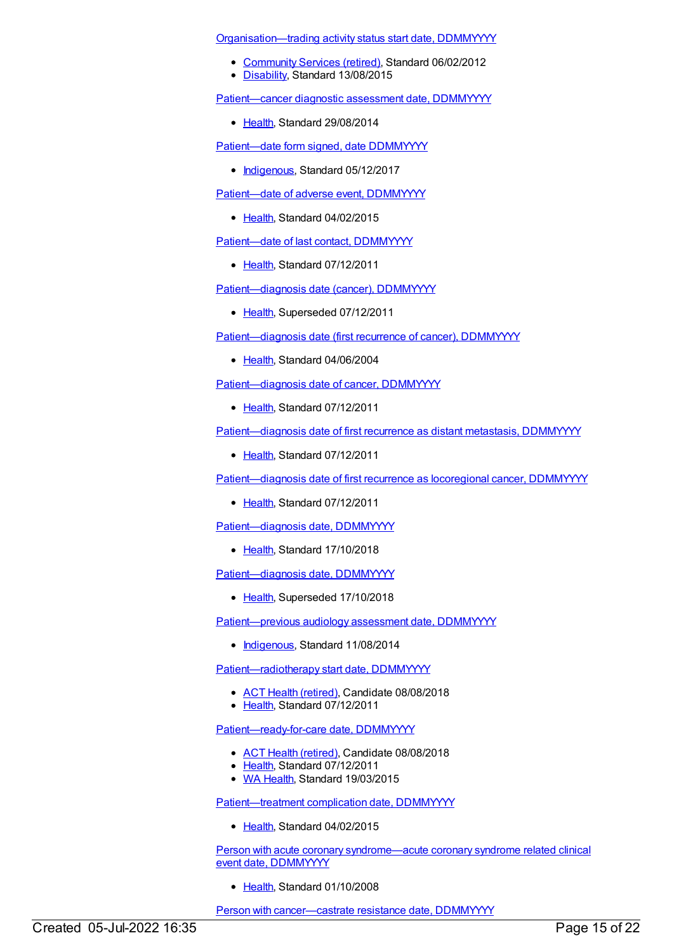[Organisation—trading](https://meteor.aihw.gov.au/content/432373) activity status start date, DDMMYYYY

- [Community](https://meteor.aihw.gov.au/RegistrationAuthority/1) Services (retired), Standard 06/02/2012
- [Disability](https://meteor.aihw.gov.au/RegistrationAuthority/16), Standard 13/08/2015

[Patient—cancer](https://meteor.aihw.gov.au/content/530106) diagnostic assessment date, DDMMYYYY

[Health](https://meteor.aihw.gov.au/RegistrationAuthority/12), Standard 29/08/2014

Patient-date form signed, date DDMMYYYY

• [Indigenous](https://meteor.aihw.gov.au/RegistrationAuthority/6), Standard 05/12/2017

[Patient—date](https://meteor.aihw.gov.au/content/594097) of adverse event, DDMMYYYY

• [Health](https://meteor.aihw.gov.au/RegistrationAuthority/12), Standard 04/02/2015

[Patient—date](https://meteor.aihw.gov.au/content/394060) of last contact, DDMMYYYY

• [Health](https://meteor.aihw.gov.au/RegistrationAuthority/12), Standard 07/12/2011

[Patient—diagnosis](https://meteor.aihw.gov.au/content/270061) date (cancer), DDMMYYYY

• [Health](https://meteor.aihw.gov.au/RegistrationAuthority/12), Superseded 07/12/2011

[Patient—diagnosis](https://meteor.aihw.gov.au/content/288596) date (first recurrence of cancer), DDMMYYYY

• [Health](https://meteor.aihw.gov.au/RegistrationAuthority/12), Standard 04/06/2004

[Patient—diagnosis](https://meteor.aihw.gov.au/content/416129) date of cancer, DDMMYYYY

● [Health](https://meteor.aihw.gov.au/RegistrationAuthority/12), Standard 07/12/2011

[Patient—diagnosis](https://meteor.aihw.gov.au/content/393841) date of first recurrence as distant metastasis, DDMMYYYY

• [Health](https://meteor.aihw.gov.au/RegistrationAuthority/12), Standard 07/12/2011

[Patient—diagnosis](https://meteor.aihw.gov.au/content/393837) date of first recurrence as locoregional cancer, DDMMYYYY

• [Health](https://meteor.aihw.gov.au/RegistrationAuthority/12), Standard 07/12/2011

[Patient—diagnosis](https://meteor.aihw.gov.au/content/696061) date, DDMMYYYY

• [Health](https://meteor.aihw.gov.au/RegistrationAuthority/12), Standard 17/10/2018

Patient-diagnosis date, DDMMYYYY

• [Health](https://meteor.aihw.gov.au/RegistrationAuthority/12), Superseded 17/10/2018

Patient-previous audiology assessment date, DDMMYYYY

• [Indigenous](https://meteor.aihw.gov.au/RegistrationAuthority/6), Standard 11/08/2014

Patient-radiotherapy start date, DDMMYYYY

- ACT Health [\(retired\)](https://meteor.aihw.gov.au/RegistrationAuthority/9), Candidate 08/08/2018
- [Health](https://meteor.aihw.gov.au/RegistrationAuthority/12), Standard 07/12/2011

[Patient—ready-for-care](https://meteor.aihw.gov.au/content/448141) date, DDMMYYYY

- ACT Health [\(retired\)](https://meteor.aihw.gov.au/RegistrationAuthority/9), Candidate 08/08/2018
- [Health](https://meteor.aihw.gov.au/RegistrationAuthority/12), Standard 07/12/2011
- WA [Health](https://meteor.aihw.gov.au/RegistrationAuthority/2), Standard 19/03/2015

[Patient—treatment](https://meteor.aihw.gov.au/content/467440) complication date, DDMMYYYY

• [Health](https://meteor.aihw.gov.au/RegistrationAuthority/12), Standard 04/02/2015

Person with acute coronary [syndrome—acute](https://meteor.aihw.gov.au/content/349645) coronary syndrome related clinical event date, DDMMYYYY

• [Health](https://meteor.aihw.gov.au/RegistrationAuthority/12), Standard 01/10/2008

Person with [cancer—castrate](https://meteor.aihw.gov.au/content/492865) resistance date, DDMMYYYY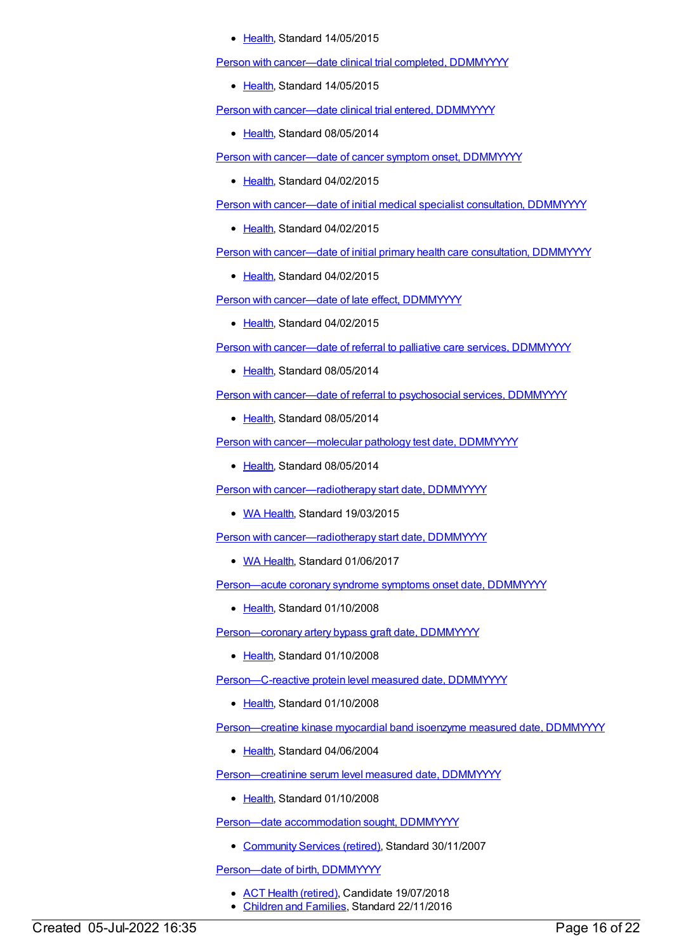#### [Health](https://meteor.aihw.gov.au/RegistrationAuthority/12), Standard 14/05/2015

Person with [cancer—date](https://meteor.aihw.gov.au/content/482206) clinical trial completed, DDMMYYYY

• [Health](https://meteor.aihw.gov.au/RegistrationAuthority/12), Standard 14/05/2015

Person with [cancer—date](https://meteor.aihw.gov.au/content/447247) clinical trial entered, DDMMYYYY

• [Health](https://meteor.aihw.gov.au/RegistrationAuthority/12), Standard 08/05/2014

Person with [cancer—date](https://meteor.aihw.gov.au/content/446179) of cancer symptom onset, DDMMYYYY

• [Health](https://meteor.aihw.gov.au/RegistrationAuthority/12), Standard 04/02/2015

Person with [cancer—date](https://meteor.aihw.gov.au/content/456997) of initial medical specialist consultation, DDMMYYYY

• [Health](https://meteor.aihw.gov.au/RegistrationAuthority/12), Standard 04/02/2015

Person with [cancer—date](https://meteor.aihw.gov.au/content/456975) of initial primary health care consultation, DDMMYYYY

• [Health](https://meteor.aihw.gov.au/RegistrationAuthority/12), Standard 04/02/2015

Person with [cancer—date](https://meteor.aihw.gov.au/content/469791) of late effect, DDMMYYYY

• [Health](https://meteor.aihw.gov.au/RegistrationAuthority/12), Standard 04/02/2015

Person with [cancer—date](https://meteor.aihw.gov.au/content/447391) of referral to palliative care services, DDMMYYYY

• [Health](https://meteor.aihw.gov.au/RegistrationAuthority/12), Standard 08/05/2014

Person with [cancer—date](https://meteor.aihw.gov.au/content/448664) of referral to psychosocial services, DDMMYYYY

[Health](https://meteor.aihw.gov.au/RegistrationAuthority/12), Standard 08/05/2014

Person with [cancer—molecular](https://meteor.aihw.gov.au/content/506791) pathology test date, DDMMYYYY

[Health](https://meteor.aihw.gov.au/RegistrationAuthority/12), Standard 08/05/2014

Person with [cancer—radiotherapy](https://meteor.aihw.gov.au/content/555794) start date, DDMMYYYY

• WA [Health](https://meteor.aihw.gov.au/RegistrationAuthority/2), Standard 19/03/2015

Person with [cancer—radiotherapy](https://meteor.aihw.gov.au/content/663464) start date, DDMMYYYY

• WA [Health](https://meteor.aihw.gov.au/RegistrationAuthority/2), Standard 01/06/2017

[Person—acute](https://meteor.aihw.gov.au/content/321201) coronary syndrome symptoms onset date, DDMMYYYY

[Health](https://meteor.aihw.gov.au/RegistrationAuthority/12), Standard 01/10/2008

[Person—coronary](https://meteor.aihw.gov.au/content/344424) artery bypass graft date, DDMMYYYY

• [Health](https://meteor.aihw.gov.au/RegistrationAuthority/12), Standard 01/10/2008

[Person—C-reactive](https://meteor.aihw.gov.au/content/338280) protein level measured date, DDMMYYYY

• [Health](https://meteor.aihw.gov.au/RegistrationAuthority/12), Standard 01/10/2008

[Person—creatine](https://meteor.aihw.gov.au/content/284973) kinase myocardial band isoenzyme measured date, DDMMYYYY

• [Health](https://meteor.aihw.gov.au/RegistrationAuthority/12), Standard 04/06/2004

[Person—creatinine](https://meteor.aihw.gov.au/content/343843) serum level measured date, DDMMYYYY

[Health](https://meteor.aihw.gov.au/RegistrationAuthority/12), Standard 01/10/2008

Person-date [accommodation](https://meteor.aihw.gov.au/content/336188) sought, DDMMYYYY

• [Community](https://meteor.aihw.gov.au/RegistrationAuthority/1) Services (retired), Standard 30/11/2007

Person-date of birth, DDMMYYYY

- ACT Health [\(retired\)](https://meteor.aihw.gov.au/RegistrationAuthority/9), Candidate 19/07/2018
- [Children](https://meteor.aihw.gov.au/RegistrationAuthority/17) and Families, Standard 22/11/2016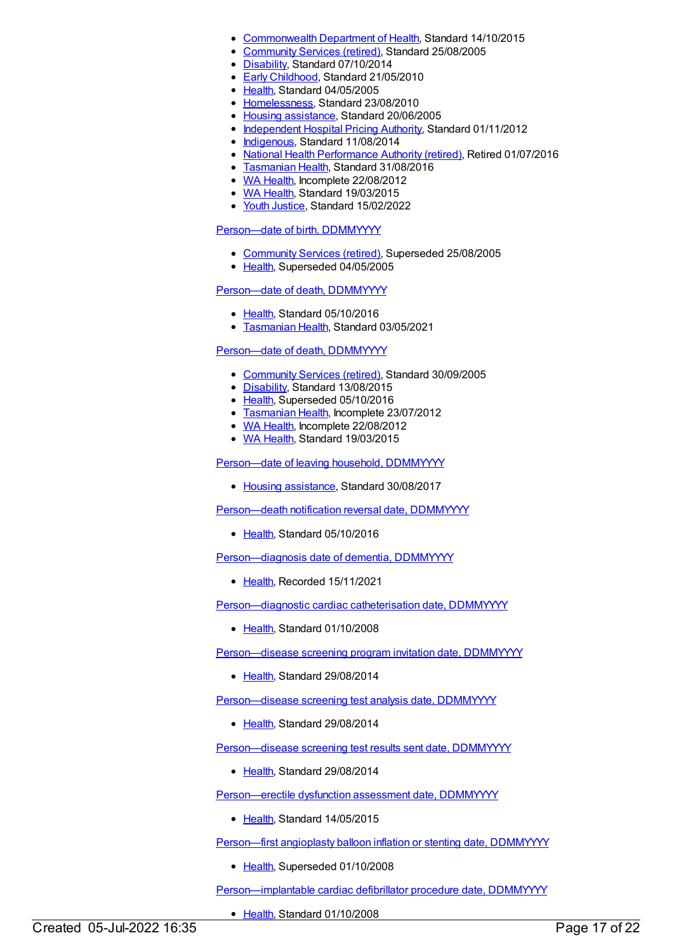- [Commonwealth](https://meteor.aihw.gov.au/RegistrationAuthority/10) Department of Health, Standard 14/10/2015
- [Community](https://meteor.aihw.gov.au/RegistrationAuthority/1) Services (retired), Standard 25/08/2005
- [Disability](https://meteor.aihw.gov.au/RegistrationAuthority/16), Standard 07/10/2014
- Early [Childhood](https://meteor.aihw.gov.au/RegistrationAuthority/13), Standard 21/05/2010
- Elealth, Standard 04/05/2005
- [Homelessness](https://meteor.aihw.gov.au/RegistrationAuthority/14), Standard 23/08/2010
- Housing [assistance](https://meteor.aihw.gov.au/RegistrationAuthority/11), Standard 20/06/2005
- [Independent](https://meteor.aihw.gov.au/RegistrationAuthority/3) Hospital Pricing Authority, Standard 01/11/2012
- [Indigenous](https://meteor.aihw.gov.au/RegistrationAuthority/6), Standard 11/08/2014
- National Health [Performance](https://meteor.aihw.gov.au/RegistrationAuthority/8) Authority (retired), Retired 01/07/2016
- **[Tasmanian](https://meteor.aihw.gov.au/RegistrationAuthority/15) Health, Standard 31/08/2016**
- WA [Health](https://meteor.aihw.gov.au/RegistrationAuthority/2), Incomplete 22/08/2012
- WA [Health](https://meteor.aihw.gov.au/RegistrationAuthority/2), Standard 19/03/2015
- Youth [Justice](https://meteor.aihw.gov.au/RegistrationAuthority/4), Standard 15/02/2022

#### [Person—date](https://meteor.aihw.gov.au/content/270391) of birth, DDMMYYYY

- [Community](https://meteor.aihw.gov.au/RegistrationAuthority/1) Services (retired), Superseded 25/08/2005
- [Health](https://meteor.aihw.gov.au/RegistrationAuthority/12), Superseded 04/05/2005

#### Person-date of death, DDMMYYYY

- [Health](https://meteor.aihw.gov.au/RegistrationAuthority/12), Standard 05/10/2016
- [Tasmanian](https://meteor.aihw.gov.au/RegistrationAuthority/15) Health, Standard 03/05/2021

#### Person-date of death, DDMMYYYY

- [Community](https://meteor.aihw.gov.au/RegistrationAuthority/1) Services (retired), Standard 30/09/2005
- [Disability](https://meteor.aihw.gov.au/RegistrationAuthority/16), Standard 13/08/2015
- [Health](https://meteor.aihw.gov.au/RegistrationAuthority/12), Superseded 05/10/2016
- **[Tasmanian](https://meteor.aihw.gov.au/RegistrationAuthority/15) Health, Incomplete 23/07/2012**
- WA [Health](https://meteor.aihw.gov.au/RegistrationAuthority/2), Incomplete 22/08/2012
- WA [Health](https://meteor.aihw.gov.au/RegistrationAuthority/2), Standard 19/03/2015

[Person—date](https://meteor.aihw.gov.au/content/610244) of leaving household, DDMMYYYY

• Housing [assistance](https://meteor.aihw.gov.au/RegistrationAuthority/11), Standard 30/08/2017

[Person—death](https://meteor.aihw.gov.au/content/521469) notification reversal date, DDMMYYYY

• [Health](https://meteor.aihw.gov.au/RegistrationAuthority/12), Standard 05/10/2016

[Person—diagnosis](https://meteor.aihw.gov.au/content/737907) date of dementia, DDMMYYYY

● [Health](https://meteor.aihw.gov.au/RegistrationAuthority/12), Recorded 15/11/2021

[Person—diagnostic](https://meteor.aihw.gov.au/content/359791) cardiac catheterisation date, DDMMYYYY

• [Health](https://meteor.aihw.gov.au/RegistrationAuthority/12), Standard 01/10/2008

[Person—disease](https://meteor.aihw.gov.au/content/530061) screening program invitation date, DDMMYYYY

● [Health](https://meteor.aihw.gov.au/RegistrationAuthority/12), Standard 29/08/2014

[Person—disease](https://meteor.aihw.gov.au/content/568129) screening test analysis date, DDMMYYYY

[Health](https://meteor.aihw.gov.au/RegistrationAuthority/12), Standard 29/08/2014

[Person—disease](https://meteor.aihw.gov.au/content/530003) screening test results sent date, DDMMYYYY

• [Health](https://meteor.aihw.gov.au/RegistrationAuthority/12), Standard 29/08/2014

Person-erectile dysfunction assessment date, DDMMYYYY

• [Health](https://meteor.aihw.gov.au/RegistrationAuthority/12), Standard 14/05/2015

[Person—first](https://meteor.aihw.gov.au/content/284979) angioplasty balloon inflation or stenting date, DDMMYYYY

• [Health](https://meteor.aihw.gov.au/RegistrationAuthority/12), Superseded 01/10/2008

[Person—implantable](https://meteor.aihw.gov.au/content/359611) cardiac defibrillator procedure date, DDMMYYYY

• [Health](https://meteor.aihw.gov.au/RegistrationAuthority/12), Standard 01/10/2008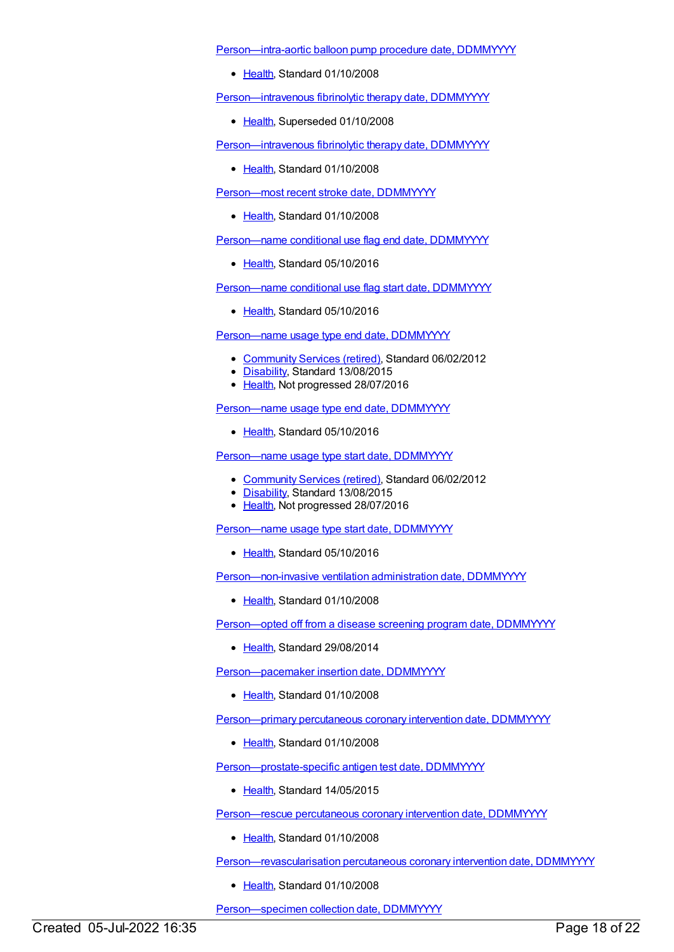[Person—intra-aortic](https://meteor.aihw.gov.au/content/359623) balloon pump procedure date, DDMMYYYY

• [Health](https://meteor.aihw.gov.au/RegistrationAuthority/12), Standard 01/10/2008

[Person—intravenous](https://meteor.aihw.gov.au/content/284985) fibrinolytic therapy date, DDMMYYYY

• [Health](https://meteor.aihw.gov.au/RegistrationAuthority/12), Superseded 01/10/2008

[Person—intravenous](https://meteor.aihw.gov.au/content/356921) fibrinolytic therapy date, DDMMYYYY

• [Health](https://meteor.aihw.gov.au/RegistrationAuthority/12), Standard 01/10/2008

[Person—most](https://meteor.aihw.gov.au/content/338263) recent stroke date, DDMMYYYY

• [Health](https://meteor.aihw.gov.au/RegistrationAuthority/12), Standard 01/10/2008

[Person—name](https://meteor.aihw.gov.au/content/521168) conditional use flag end date, DDMMYYYY

• [Health](https://meteor.aihw.gov.au/RegistrationAuthority/12), Standard 05/10/2016

[Person—name](https://meteor.aihw.gov.au/content/521161) conditional use flag start date, DDMMYYYY

• [Health](https://meteor.aihw.gov.au/RegistrationAuthority/12), Standard 05/10/2016

[Person—name](https://meteor.aihw.gov.au/content/453793) usage type end date, DDMMYYYY

- [Community](https://meteor.aihw.gov.au/RegistrationAuthority/1) Services (retired), Standard 06/02/2012
- [Disability](https://meteor.aihw.gov.au/RegistrationAuthority/16), Standard 13/08/2015
- [Health](https://meteor.aihw.gov.au/RegistrationAuthority/12), Not progressed 28/07/2016

[Person—name](https://meteor.aihw.gov.au/content/646008) usage type end date, DDMMYYYY

• [Health](https://meteor.aihw.gov.au/RegistrationAuthority/12), Standard 05/10/2016

[Person—name](https://meteor.aihw.gov.au/content/453786) usage type start date, DDMMYYYY

- [Community](https://meteor.aihw.gov.au/RegistrationAuthority/1) Services (retired), Standard 06/02/2012
- [Disability](https://meteor.aihw.gov.au/RegistrationAuthority/16), Standard 13/08/2015
- [Health](https://meteor.aihw.gov.au/RegistrationAuthority/12), Not progressed 28/07/2016

[Person—name](https://meteor.aihw.gov.au/content/646002) usage type start date, DDMMYYYY

• [Health](https://meteor.aihw.gov.au/RegistrationAuthority/12), Standard 05/10/2016

[Person—non-invasive](https://meteor.aihw.gov.au/content/359637) ventilation administration date, DDMMYYYY

• [Health](https://meteor.aihw.gov.au/RegistrationAuthority/12), Standard 01/10/2008

[Person—opted](https://meteor.aihw.gov.au/content/576720) off from a disease screening program date, DDMMYYYY

• [Health](https://meteor.aihw.gov.au/RegistrationAuthority/12), Standard 29/08/2014

Person-pacemaker insertion date, DDMMYYYY

• [Health](https://meteor.aihw.gov.au/RegistrationAuthority/12), Standard 01/10/2008

Person-primary percutaneous coronary intervention date, DDMMYYYY

• [Health](https://meteor.aihw.gov.au/RegistrationAuthority/12), Standard 01/10/2008

[Person—prostate-specific](https://meteor.aihw.gov.au/content/481437) antigen test date, DDMMYYYY

• [Health](https://meteor.aihw.gov.au/RegistrationAuthority/12), Standard 14/05/2015

Person-rescue percutaneous coronary intervention date, DDMMYYYY

• [Health](https://meteor.aihw.gov.au/RegistrationAuthority/12), Standard 01/10/2008

[Person—revascularisation](https://meteor.aihw.gov.au/content/359731) percutaneous coronary intervention date, DDMMYYYY

• [Health](https://meteor.aihw.gov.au/RegistrationAuthority/12), Standard 01/10/2008

[Person—specimen](https://meteor.aihw.gov.au/content/428420) collection date, DDMMYYYY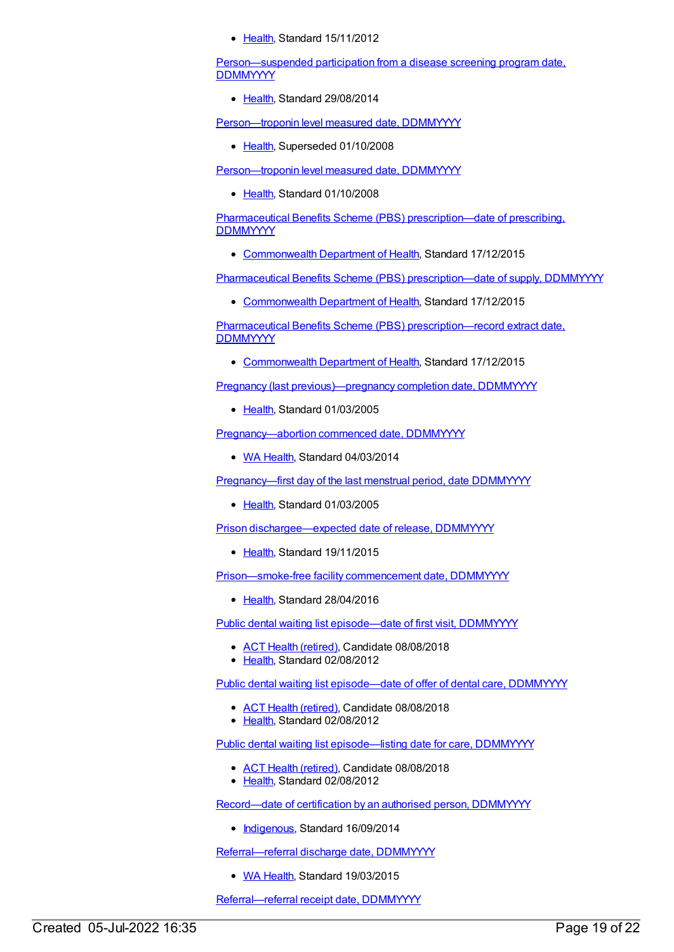• [Health](https://meteor.aihw.gov.au/RegistrationAuthority/12), Standard 15/11/2012

[Person—suspended](https://meteor.aihw.gov.au/content/576728) participation from a disease screening program date, **DDMMYYYY** 

• [Health](https://meteor.aihw.gov.au/RegistrationAuthority/12), Standard 29/08/2014

[Person—troponin](https://meteor.aihw.gov.au/content/285021) level measured date, DDMMYYYY

• [Health](https://meteor.aihw.gov.au/RegistrationAuthority/12), Superseded 01/10/2008

[Person—troponin](https://meteor.aihw.gov.au/content/359422) level measured date, DDMMYYYY

• [Health](https://meteor.aihw.gov.au/RegistrationAuthority/12), Standard 01/10/2008

Pharmaceutical Benefits Scheme (PBS) [prescription—date](https://meteor.aihw.gov.au/content/602772) of prescribing, **DDMMYYYY** 

[Commonwealth](https://meteor.aihw.gov.au/RegistrationAuthority/10) Department of Health, Standard 17/12/2015

Pharmaceutical Benefits Scheme (PBS) prescription-date of supply, DDMMYYYY

• [Commonwealth](https://meteor.aihw.gov.au/RegistrationAuthority/10) Department of Health, Standard 17/12/2015

Pharmaceutical Benefits Scheme (PBS) [prescription—record](https://meteor.aihw.gov.au/content/602774) extract date, **DDMMYYYY** 

[Commonwealth](https://meteor.aihw.gov.au/RegistrationAuthority/10) Department of Health, Standard 17/12/2015

Pregnancy (last [previous\)—pregnancy](https://meteor.aihw.gov.au/content/270002) completion date, DDMMYYYY

• [Health](https://meteor.aihw.gov.au/RegistrationAuthority/12), Standard 01/03/2005

[Pregnancy—abortion](https://meteor.aihw.gov.au/content/507755) commenced date, DDMMYYYY

• WA [Health](https://meteor.aihw.gov.au/RegistrationAuthority/2), Standard 04/03/2014

[Pregnancy—first](https://meteor.aihw.gov.au/content/270038) day of the last menstrual period, date DDMMYYYY

• [Health](https://meteor.aihw.gov.au/RegistrationAuthority/12), Standard 01/03/2005

Prison [dischargee—expected](https://meteor.aihw.gov.au/content/482401) date of release, DDMMYYYY

• [Health](https://meteor.aihw.gov.au/RegistrationAuthority/12), Standard 19/11/2015

[Prison—smoke-free](https://meteor.aihw.gov.au/content/620408) facility commencement date, DDMMYYYY

• [Health](https://meteor.aihw.gov.au/RegistrationAuthority/12), Standard 28/04/2016

Public dental waiting list [episode—date](https://meteor.aihw.gov.au/content/446601) of first visit, DDMMYYYY

- ACT Health [\(retired\)](https://meteor.aihw.gov.au/RegistrationAuthority/9), Candidate 08/08/2018
- [Health](https://meteor.aihw.gov.au/RegistrationAuthority/12), Standard 02/08/2012

Public dental waiting list [episode—date](https://meteor.aihw.gov.au/content/428965) of offer of dental care, DDMMYYYY

- ACT Health [\(retired\)](https://meteor.aihw.gov.au/RegistrationAuthority/9), Candidate 08/08/2018
- [Health](https://meteor.aihw.gov.au/RegistrationAuthority/12), Standard 02/08/2012

Public dental waiting list [episode—listing](https://meteor.aihw.gov.au/content/428485) date for care, DDMMYYYY

- ACT Health [\(retired\)](https://meteor.aihw.gov.au/RegistrationAuthority/9), Candidate 08/08/2018
- [Health](https://meteor.aihw.gov.au/RegistrationAuthority/12), Standard 02/08/2012

[Record—date](https://meteor.aihw.gov.au/content/573129) of certification by an authorised person, DDMMYYYY

• [Indigenous](https://meteor.aihw.gov.au/RegistrationAuthority/6), Standard 16/09/2014

[Referral—referral](https://meteor.aihw.gov.au/content/492513) discharge date, DDMMYYYY

• WA [Health](https://meteor.aihw.gov.au/RegistrationAuthority/2), Standard 19/03/2015

[Referral—referral](https://meteor.aihw.gov.au/content/270005) receipt date, DDMMYYYY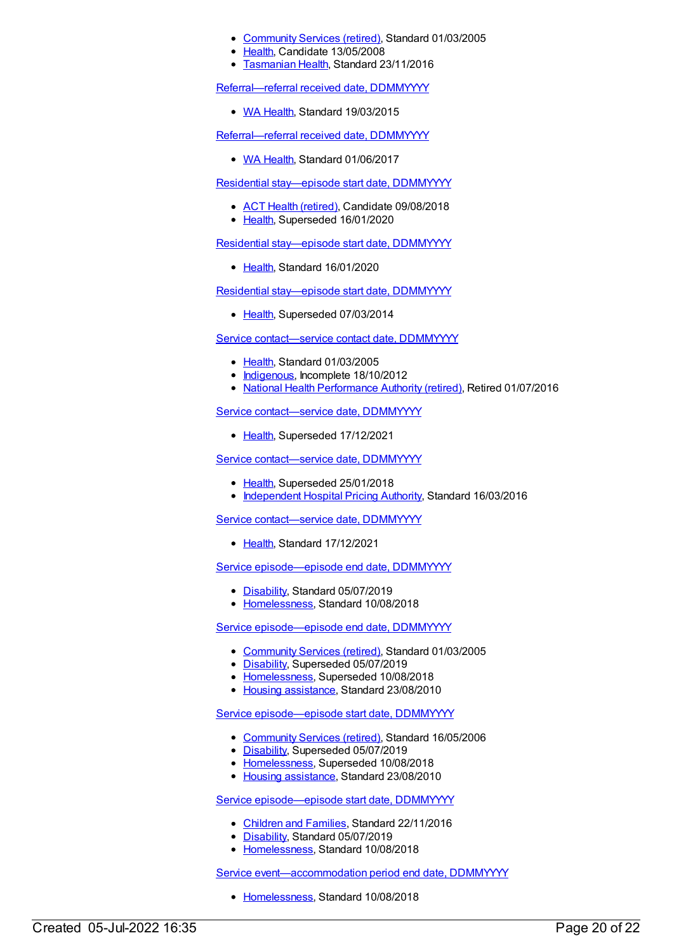- [Community](https://meteor.aihw.gov.au/RegistrationAuthority/1) Services (retired), Standard 01/03/2005
- [Health](https://meteor.aihw.gov.au/RegistrationAuthority/12), Candidate 13/05/2008
- [Tasmanian](https://meteor.aihw.gov.au/RegistrationAuthority/15) Health, Standard 23/11/2016

[Referral—referral](https://meteor.aihw.gov.au/content/572266) received date, DDMMYYYY

• WA [Health](https://meteor.aihw.gov.au/RegistrationAuthority/2), Standard 19/03/2015

[Referral—referral](https://meteor.aihw.gov.au/content/663262) received date, DDMMYYYY

• WA [Health](https://meteor.aihw.gov.au/RegistrationAuthority/2), Standard 01/06/2017

Residential [stay—episode](https://meteor.aihw.gov.au/content/534061) start date, DDMMYYYY

- ACT Health [\(retired\)](https://meteor.aihw.gov.au/RegistrationAuthority/9), Candidate 09/08/2018
- [Health](https://meteor.aihw.gov.au/RegistrationAuthority/12), Superseded 16/01/2020

Residential [stay—episode](https://meteor.aihw.gov.au/content/723256) start date, DDMMYYYY

• [Health](https://meteor.aihw.gov.au/RegistrationAuthority/12), Standard 16/01/2020

Residential [stay—episode](https://meteor.aihw.gov.au/content/269953) start date, DDMMYYYY

• [Health](https://meteor.aihw.gov.au/RegistrationAuthority/12), Superseded 07/03/2014

Service contact-service contact date, DDMMYYYY

- [Health](https://meteor.aihw.gov.au/RegistrationAuthority/12), Standard 01/03/2005
- [Indigenous](https://meteor.aihw.gov.au/RegistrationAuthority/6), Incomplete 18/10/2012
- National Health [Performance](https://meteor.aihw.gov.au/RegistrationAuthority/8) Authority (retired), Retired 01/07/2016

Service [contact—service](https://meteor.aihw.gov.au/content/681336) date, DDMMYYYY

• [Health](https://meteor.aihw.gov.au/RegistrationAuthority/12), Superseded 17/12/2021

Service [contact—service](https://meteor.aihw.gov.au/content/614184) date, DDMMYYYY

- [Health](https://meteor.aihw.gov.au/RegistrationAuthority/12), Superseded 25/01/2018
- [Independent](https://meteor.aihw.gov.au/RegistrationAuthority/3) Hospital Pricing Authority, Standard 16/03/2016

Service contact-service date, DDMMYYYY

• [Health](https://meteor.aihw.gov.au/RegistrationAuthority/12), Standard 17/12/2021

Service [episode—episode](https://meteor.aihw.gov.au/content/692003) end date, DDMMYYYY

- [Disability](https://meteor.aihw.gov.au/RegistrationAuthority/16), Standard 05/07/2019
- [Homelessness](https://meteor.aihw.gov.au/RegistrationAuthority/14), Standard 10/08/2018

Service [episode—episode](https://meteor.aihw.gov.au/content/270160) end date, DDMMYYYY

- [Community](https://meteor.aihw.gov.au/RegistrationAuthority/1) Services (retired), Standard 01/03/2005
- [Disability](https://meteor.aihw.gov.au/RegistrationAuthority/16), Superseded 05/07/2019
- [Homelessness](https://meteor.aihw.gov.au/RegistrationAuthority/14), Superseded 10/08/2018
- Housing [assistance](https://meteor.aihw.gov.au/RegistrationAuthority/11), Standard 23/08/2010

Service [episode—episode](https://meteor.aihw.gov.au/content/338558) start date, DDMMYYYY

- [Community](https://meteor.aihw.gov.au/RegistrationAuthority/1) Services (retired), Standard 16/05/2006
- [Disability](https://meteor.aihw.gov.au/RegistrationAuthority/16), Superseded 05/07/2019
- [Homelessness](https://meteor.aihw.gov.au/RegistrationAuthority/14), Superseded 10/08/2018
- Housing [assistance](https://meteor.aihw.gov.au/RegistrationAuthority/11), Standard 23/08/2010

Service [episode—episode](https://meteor.aihw.gov.au/content/651687) start date, DDMMYYYY

- [Children](https://meteor.aihw.gov.au/RegistrationAuthority/17) and Families, Standard 22/11/2016
- [Disability](https://meteor.aihw.gov.au/RegistrationAuthority/16), Standard 05/07/2019
- [Homelessness](https://meteor.aihw.gov.au/RegistrationAuthority/14), Standard 10/08/2018

Service event-accommodation period end date, DDMMYYYY

• [Homelessness](https://meteor.aihw.gov.au/RegistrationAuthority/14), Standard 10/08/2018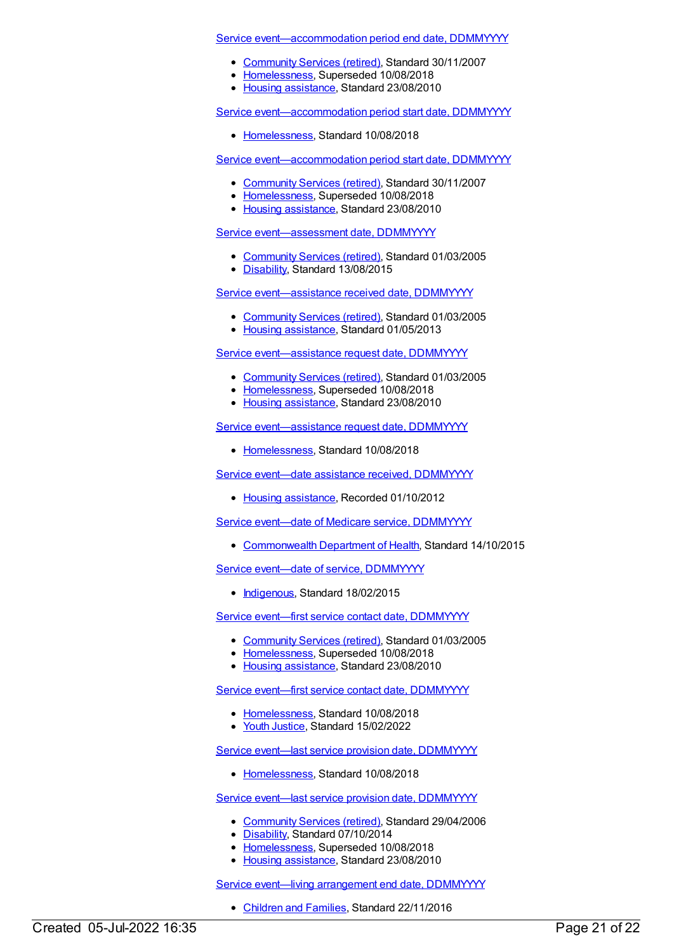Service [event—accommodation](https://meteor.aihw.gov.au/content/347334) period end date, DDMMYYYY

- [Community](https://meteor.aihw.gov.au/RegistrationAuthority/1) Services (retired), Standard 30/11/2007
- [Homelessness](https://meteor.aihw.gov.au/RegistrationAuthority/14), Superseded 10/08/2018
- Housing [assistance](https://meteor.aihw.gov.au/RegistrationAuthority/11), Standard 23/08/2010

Service [event—accommodation](https://meteor.aihw.gov.au/content/691810) period start date, DDMMYYYY

• [Homelessness](https://meteor.aihw.gov.au/RegistrationAuthority/14), Standard 10/08/2018

Service [event—accommodation](https://meteor.aihw.gov.au/content/348138) period start date, DDMMYYYY

- [Community](https://meteor.aihw.gov.au/RegistrationAuthority/1) Services (retired), Standard 30/11/2007
- [Homelessness](https://meteor.aihw.gov.au/RegistrationAuthority/14), Superseded 10/08/2018
- Housing [assistance](https://meteor.aihw.gov.au/RegistrationAuthority/11), Standard 23/08/2010

Service [event—assessment](https://meteor.aihw.gov.au/content/269943) date, DDMMYYYY

- [Community](https://meteor.aihw.gov.au/RegistrationAuthority/1) Services (retired), Standard 01/03/2005
- [Disability](https://meteor.aihw.gov.au/RegistrationAuthority/16), Standard 13/08/2015

Service [event—assistance](https://meteor.aihw.gov.au/content/270042) received date, DDMMYYYY

- [Community](https://meteor.aihw.gov.au/RegistrationAuthority/1) Services (retired), Standard 01/03/2005
- Housing [assistance](https://meteor.aihw.gov.au/RegistrationAuthority/11), Standard 01/05/2013

Service [event—assistance](https://meteor.aihw.gov.au/content/270043) request date, DDMMYYYY

- [Community](https://meteor.aihw.gov.au/RegistrationAuthority/1) Services (retired), Standard 01/03/2005
- [Homelessness](https://meteor.aihw.gov.au/RegistrationAuthority/14), Superseded 10/08/2018
- Housing [assistance](https://meteor.aihw.gov.au/RegistrationAuthority/11), Standard 23/08/2010

Service event-assistance request date, DDMMYYYY

[Homelessness](https://meteor.aihw.gov.au/RegistrationAuthority/14), Standard 10/08/2018

Service event-date assistance received, [DDMMYYYY](https://meteor.aihw.gov.au/content/387632)

• Housing [assistance](https://meteor.aihw.gov.au/RegistrationAuthority/11), Recorded 01/10/2012

Service event-date of Medicare service, [DDMMYYYY](https://meteor.aihw.gov.au/content/603319)

• [Commonwealth](https://meteor.aihw.gov.au/RegistrationAuthority/10) Department of Health, Standard 14/10/2015

Service event—date of service, [DDMMYYYY](https://meteor.aihw.gov.au/content/527660)

• [Indigenous](https://meteor.aihw.gov.au/RegistrationAuthority/6), Standard 18/02/2015

Service event—first service contact date, [DDMMYYYY](https://meteor.aihw.gov.au/content/270163)

- [Community](https://meteor.aihw.gov.au/RegistrationAuthority/1) Services (retired), Standard 01/03/2005
- [Homelessness](https://meteor.aihw.gov.au/RegistrationAuthority/14), Superseded 10/08/2018
- Housing [assistance](https://meteor.aihw.gov.au/RegistrationAuthority/11), Standard 23/08/2010

Service event—first service contact date, [DDMMYYYY](https://meteor.aihw.gov.au/content/692122)

- [Homelessness](https://meteor.aihw.gov.au/RegistrationAuthority/14), Standard 10/08/2018
- Youth [Justice](https://meteor.aihw.gov.au/RegistrationAuthority/4), Standard 15/02/2022

Service event—last service provision date, [DDMMYYYY](https://meteor.aihw.gov.au/content/692130)

• [Homelessness](https://meteor.aihw.gov.au/RegistrationAuthority/14), Standard 10/08/2018

Service event-last service provision date, [DDMMYYYY](https://meteor.aihw.gov.au/content/323253)

- [Community](https://meteor.aihw.gov.au/RegistrationAuthority/1) Services (retired), Standard 29/04/2006
- [Disability](https://meteor.aihw.gov.au/RegistrationAuthority/16), Standard 07/10/2014
- [Homelessness](https://meteor.aihw.gov.au/RegistrationAuthority/14), Superseded 10/08/2018
- Housing [assistance](https://meteor.aihw.gov.au/RegistrationAuthority/11), Standard 23/08/2010

Service event-living [arrangement](https://meteor.aihw.gov.au/content/474223) end date, DDMMYYYY

[Children](https://meteor.aihw.gov.au/RegistrationAuthority/17) and Families, Standard 22/11/2016